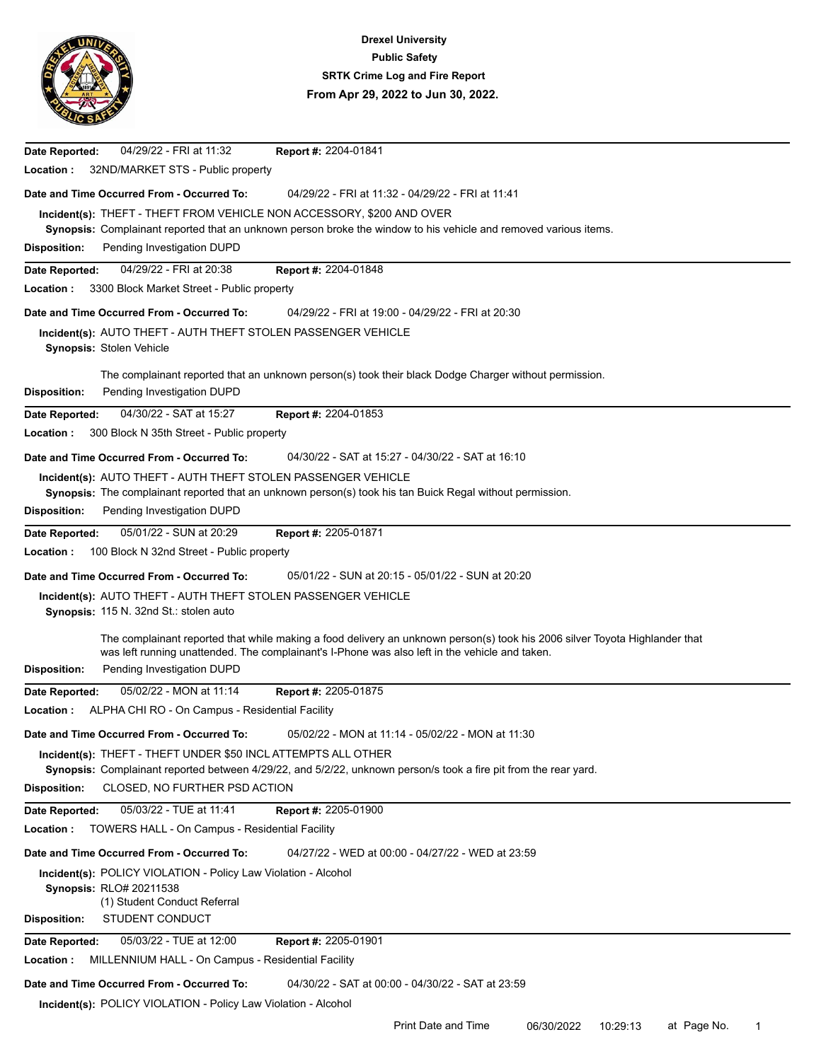

| 04/29/22 - FRI at 11:32<br>Report #: 2204-01841<br>Date Reported:                                                                                                                 |
|-----------------------------------------------------------------------------------------------------------------------------------------------------------------------------------|
| Location:<br>32ND/MARKET STS - Public property                                                                                                                                    |
| 04/29/22 - FRI at 11:32 - 04/29/22 - FRI at 11:41<br>Date and Time Occurred From - Occurred To:                                                                                   |
| Incident(s): THEFT - THEFT FROM VEHICLE NON ACCESSORY, \$200 AND OVER                                                                                                             |
| Synopsis: Complainant reported that an unknown person broke the window to his vehicle and removed various items.                                                                  |
| Pending Investigation DUPD<br><b>Disposition:</b>                                                                                                                                 |
| 04/29/22 - FRI at 20:38<br>Report #: 2204-01848<br>Date Reported:                                                                                                                 |
| 3300 Block Market Street - Public property<br>Location :                                                                                                                          |
| 04/29/22 - FRI at 19:00 - 04/29/22 - FRI at 20:30<br>Date and Time Occurred From - Occurred To:                                                                                   |
| Incident(s): AUTO THEFT - AUTH THEFT STOLEN PASSENGER VEHICLE<br>Synopsis: Stolen Vehicle                                                                                         |
| The complainant reported that an unknown person(s) took their black Dodge Charger without permission.<br>Pending Investigation DUPD<br><b>Disposition:</b>                        |
| 04/30/22 - SAT at 15:27<br>Report #: 2204-01853<br>Date Reported:                                                                                                                 |
| Location:<br>300 Block N 35th Street - Public property                                                                                                                            |
| Date and Time Occurred From - Occurred To:<br>04/30/22 - SAT at 15:27 - 04/30/22 - SAT at 16:10                                                                                   |
| Incident(s): AUTO THEFT - AUTH THEFT STOLEN PASSENGER VEHICLE                                                                                                                     |
| Synopsis: The complainant reported that an unknown person(s) took his tan Buick Regal without permission.                                                                         |
| <b>Disposition:</b><br>Pending Investigation DUPD                                                                                                                                 |
| Date Reported:<br>05/01/22 - SUN at 20:29<br>Report #: 2205-01871                                                                                                                 |
| Location:<br>100 Block N 32nd Street - Public property                                                                                                                            |
| 05/01/22 - SUN at 20:15 - 05/01/22 - SUN at 20:20<br>Date and Time Occurred From - Occurred To:                                                                                   |
| Incident(s): AUTO THEFT - AUTH THEFT STOLEN PASSENGER VEHICLE                                                                                                                     |
| Synopsis: 115 N. 32nd St.: stolen auto                                                                                                                                            |
| The complainant reported that while making a food delivery an unknown person(s) took his 2006 silver Toyota Highlander that                                                       |
| was left running unattended. The complainant's I-Phone was also left in the vehicle and taken.<br><b>Disposition:</b><br>Pending Investigation DUPD                               |
| 05/02/22 - MON at 11:14<br>Report #: 2205-01875<br>Date Reported:                                                                                                                 |
| Location :<br>ALPHA CHI RO - On Campus - Residential Facility                                                                                                                     |
|                                                                                                                                                                                   |
| 05/02/22 - MON at 11:14 - 05/02/22 - MON at 11:30<br>Date and Time Occurred From - Occurred To:                                                                                   |
| Incident(s): THEFT - THEFT UNDER \$50 INCL ATTEMPTS ALL OTHER<br>Synopsis: Complainant reported between 4/29/22, and 5/2/22, unknown person/s took a fire pit from the rear yard. |
| CLOSED, NO FURTHER PSD ACTION<br><b>Disposition:</b>                                                                                                                              |
| 05/03/22 - TUE at 11:41<br>Date Reported:<br>Report #: 2205-01900                                                                                                                 |
| TOWERS HALL - On Campus - Residential Facility<br>Location :                                                                                                                      |
| Date and Time Occurred From - Occurred To:<br>04/27/22 - WED at 00:00 - 04/27/22 - WED at 23:59                                                                                   |
| Incident(s): POLICY VIOLATION - Policy Law Violation - Alcohol                                                                                                                    |
| Synopsis: RLO# 20211538                                                                                                                                                           |
| (1) Student Conduct Referral<br>STUDENT CONDUCT                                                                                                                                   |
| <b>Disposition:</b>                                                                                                                                                               |
| 05/03/22 - TUE at 12:00<br>Report #: 2205-01901<br>Date Reported:                                                                                                                 |
| Location:<br>MILLENNIUM HALL - On Campus - Residential Facility                                                                                                                   |
| Date and Time Occurred From - Occurred To:<br>04/30/22 - SAT at 00:00 - 04/30/22 - SAT at 23:59                                                                                   |
| Incident(s): POLICY VIOLATION - Policy Law Violation - Alcohol                                                                                                                    |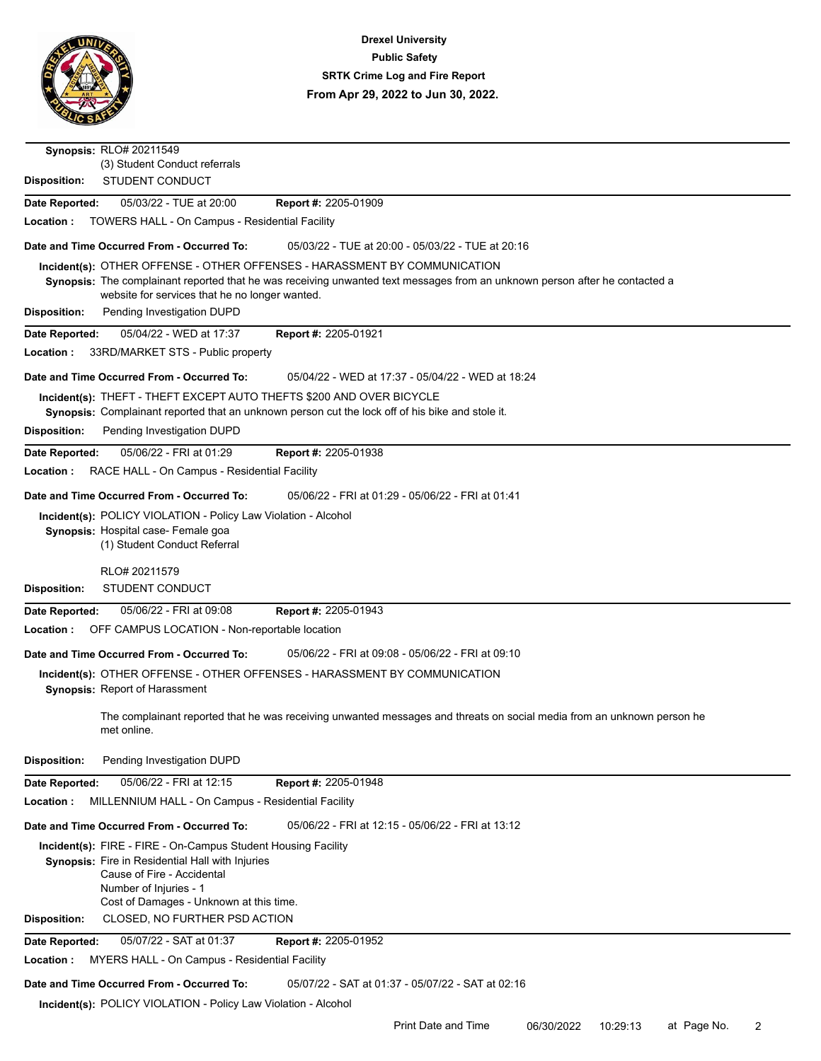

| Synopsis: RLO# 20211549<br>(3) Student Conduct referrals                                                                                                                                                 |
|----------------------------------------------------------------------------------------------------------------------------------------------------------------------------------------------------------|
| <b>STUDENT CONDUCT</b><br><b>Disposition:</b>                                                                                                                                                            |
| 05/03/22 - TUE at 20:00<br>Report #: 2205-01909<br>Date Reported:                                                                                                                                        |
| Location:<br>TOWERS HALL - On Campus - Residential Facility                                                                                                                                              |
| Date and Time Occurred From - Occurred To:<br>05/03/22 - TUE at 20:00 - 05/03/22 - TUE at 20:16                                                                                                          |
|                                                                                                                                                                                                          |
| Incident(s): OTHER OFFENSE - OTHER OFFENSES - HARASSMENT BY COMMUNICATION<br>Synopsis: The complainant reported that he was receiving unwanted text messages from an unknown person after he contacted a |
| website for services that he no longer wanted.                                                                                                                                                           |
| Pending Investigation DUPD<br><b>Disposition:</b>                                                                                                                                                        |
| 05/04/22 - WED at 17:37<br>Report #: 2205-01921<br>Date Reported:                                                                                                                                        |
| 33RD/MARKET STS - Public property<br>Location:                                                                                                                                                           |
| Date and Time Occurred From - Occurred To:<br>05/04/22 - WED at 17:37 - 05/04/22 - WED at 18:24                                                                                                          |
| Incident(s): THEFT - THEFT EXCEPT AUTO THEFTS \$200 AND OVER BICYCLE                                                                                                                                     |
| Synopsis: Complainant reported that an unknown person cut the lock off of his bike and stole it.                                                                                                         |
| <b>Disposition:</b><br>Pending Investigation DUPD                                                                                                                                                        |
| Date Reported:<br>05/06/22 - FRI at 01:29<br>Report #: 2205-01938                                                                                                                                        |
| RACE HALL - On Campus - Residential Facility<br>Location:                                                                                                                                                |
| Date and Time Occurred From - Occurred To:<br>05/06/22 - FRI at 01:29 - 05/06/22 - FRI at 01:41                                                                                                          |
| Incident(s): POLICY VIOLATION - Policy Law Violation - Alcohol                                                                                                                                           |
| Synopsis: Hospital case- Female goa                                                                                                                                                                      |
| (1) Student Conduct Referral                                                                                                                                                                             |
| RLO# 20211579                                                                                                                                                                                            |
| <b>Disposition:</b><br>STUDENT CONDUCT                                                                                                                                                                   |
| 05/06/22 - FRI at 09:08<br>Report #: 2205-01943<br>Date Reported:                                                                                                                                        |
| Location:<br>OFF CAMPUS LOCATION - Non-reportable location                                                                                                                                               |
| Date and Time Occurred From - Occurred To:<br>05/06/22 - FRI at 09:08 - 05/06/22 - FRI at 09:10                                                                                                          |
| Incident(s): OTHER OFFENSE - OTHER OFFENSES - HARASSMENT BY COMMUNICATION                                                                                                                                |
| Synopsis: Report of Harassment                                                                                                                                                                           |
| The complainant reported that he was receiving unwanted messages and threats on social media from an unknown person he                                                                                   |
| met online.                                                                                                                                                                                              |
| <b>Disposition:</b><br>Pending Investigation DUPD                                                                                                                                                        |
|                                                                                                                                                                                                          |
| Date Reported:<br>05/06/22 - FRI at 12:15<br>Report #: 2205-01948<br>Location:<br>MILLENNIUM HALL - On Campus - Residential Facility                                                                     |
|                                                                                                                                                                                                          |
| Date and Time Occurred From - Occurred To:<br>05/06/22 - FRI at 12:15 - 05/06/22 - FRI at 13:12                                                                                                          |
| <b>Incident(s): FIRE - FIRE - On-Campus Student Housing Facility</b>                                                                                                                                     |
| Synopsis: Fire in Residential Hall with Injuries<br>Cause of Fire - Accidental                                                                                                                           |
| Number of Injuries - 1                                                                                                                                                                                   |
| Cost of Damages - Unknown at this time.                                                                                                                                                                  |
| CLOSED, NO FURTHER PSD ACTION<br><b>Disposition:</b>                                                                                                                                                     |
| 05/07/22 - SAT at 01:37<br>Report #: 2205-01952<br>Date Reported:                                                                                                                                        |
| MYERS HALL - On Campus - Residential Facility<br>Location:                                                                                                                                               |
| Date and Time Occurred From - Occurred To:<br>05/07/22 - SAT at 01:37 - 05/07/22 - SAT at 02:16                                                                                                          |
| Incident(s): POLICY VIOLATION - Policy Law Violation - Alcohol                                                                                                                                           |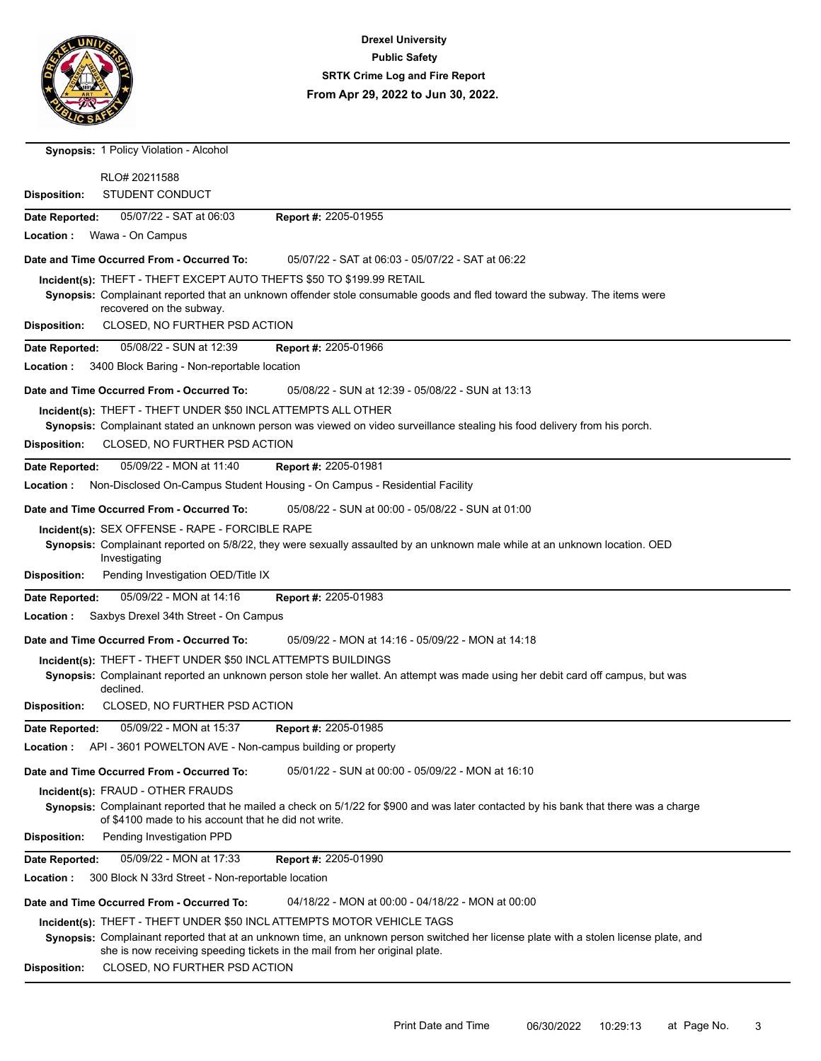

**Synopsis:** 1 Policy Violation - Alcohol RLO# 20211588 **Disposition:** STUDENT CONDUCT **Date Reported:** 05/07/22 - SAT at 06:03 Report #: **Location :** Wawa - On Campus Report #: 2205-01955 **Incident(s):** THEFT - THEFT EXCEPT AUTO THEFTS \$50 TO \$199.99 RETAIL **Date and Time Occurred From - Occurred To:** 05/07/22 - SAT at 06:03 - 05/07/22 - SAT at 06:22 **Synopsis:** Complainant reported that an unknown offender stole consumable goods and fled toward the subway. The items were recovered on the subway. **Disposition:** CLOSED, NO FURTHER PSD ACTION **Date Reported:** 05/08/22 - SUN at 12:39 Report #: **Location :** 3400 Block Baring - Non-reportable location Report #: 2205-01966 **Incident(s):** THEFT - THEFT UNDER \$50 INCL ATTEMPTS ALL OTHER **Date and Time Occurred From - Occurred To:** 05/08/22 - SUN at 12:39 - 05/08/22 - SUN at 13:13 **Synopsis:** Complainant stated an unknown person was viewed on video surveillance stealing his food delivery from his porch. **Disposition:** CLOSED, NO FURTHER PSD ACTION **Date Reported:** 05/09/22 - MON at 11:40 **Report #: Location :** Non-Disclosed On-Campus Student Housing - On Campus - Residential Facility Report #: 2205-01981 **Incident(s):** SEX OFFENSE - RAPE - FORCIBLE RAPE **Date and Time Occurred From - Occurred To:** 05/08/22 - SUN at 00:00 - 05/08/22 - SUN at 01:00 **Synopsis:** Complainant reported on 5/8/22, they were sexually assaulted by an unknown male while at an unknown location. OED Investigating **Disposition:** Pending Investigation OED/Title IX **Date Reported:** 05/09/22 - MON at 14:16 Report #: **Location :** Saxbys Drexel 34th Street - On Campus Report #: 2205-01983 **Incident(s):** THEFT - THEFT UNDER \$50 INCL ATTEMPTS BUILDINGS **Date and Time Occurred From - Occurred To:** 05/09/22 - MON at 14:16 - 05/09/22 - MON at 14:18 **Synopsis:** Complainant reported an unknown person stole her wallet. An attempt was made using her debit card off campus, but was declined. **Disposition:** CLOSED, NO FURTHER PSD ACTION **Date Reported:** 05/09/22 - MON at 15:37 **Report #: Location :** API - 3601 POWELTON AVE - Non-campus building or property Report #: 2205-01985 **Incident(s):** FRAUD - OTHER FRAUDS **Date and Time Occurred From - Occurred To:** 05/01/22 - SUN at 00:00 - 05/09/22 - MON at 16:10 **Synopsis:** Complainant reported that he mailed a check on 5/1/22 for \$900 and was later contacted by his bank that there was a charge of \$4100 made to his account that he did not write. **Disposition:** Pending Investigation PPD **Date Reported:** 05/09/22 - MON at 17:33 Report #: **Location :** 300 Block N 33rd Street - Non-reportable location Report #: 2205-01990 **Incident(s):** THEFT - THEFT UNDER \$50 INCL ATTEMPTS MOTOR VEHICLE TAGS **Date and Time Occurred From - Occurred To:** 04/18/22 - MON at 00:00 - 04/18/22 - MON at 00:00 **Synopsis:** Complainant reported that at an unknown time, an unknown person switched her license plate with a stolen license plate, and she is now receiving speeding tickets in the mail from her original plate. **Disposition:** CLOSED, NO FURTHER PSD ACTION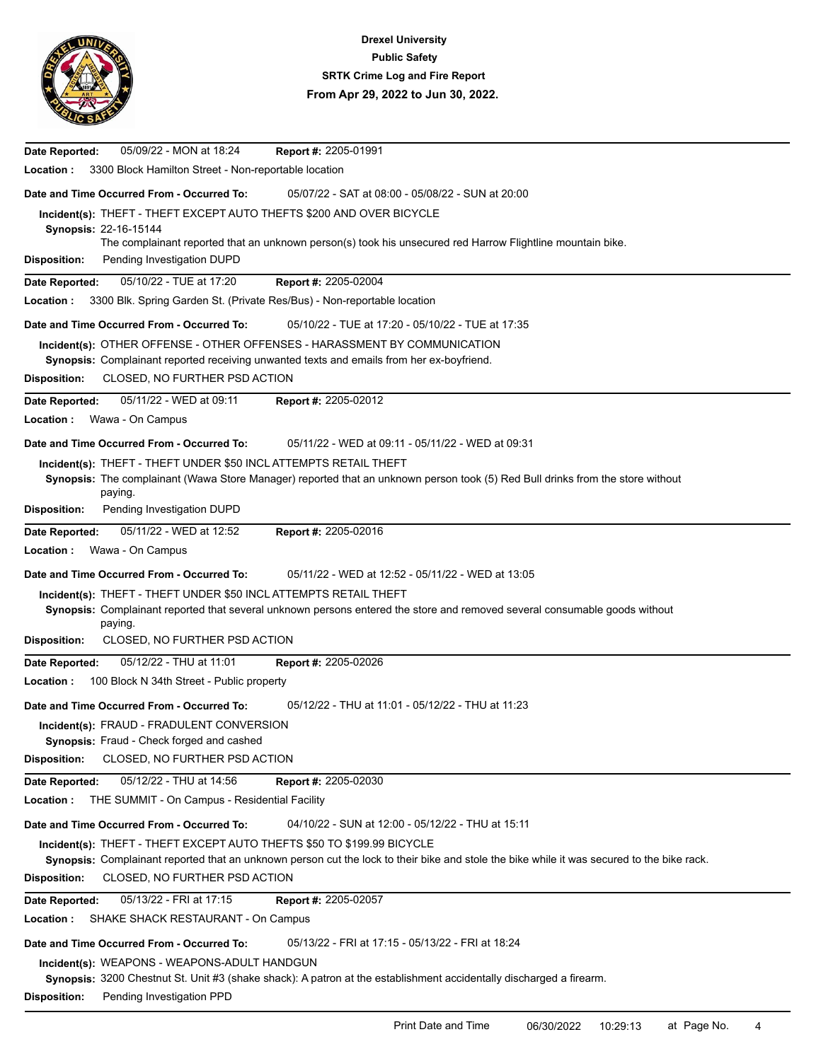

| 05/09/22 - MON at 18:24<br>Report #: 2205-01991<br>Date Reported:                                                                                                   |
|---------------------------------------------------------------------------------------------------------------------------------------------------------------------|
| 3300 Block Hamilton Street - Non-reportable location<br>Location :                                                                                                  |
| Date and Time Occurred From - Occurred To:<br>05/07/22 - SAT at 08:00 - 05/08/22 - SUN at 20:00                                                                     |
| Incident(s): THEFT - THEFT EXCEPT AUTO THEFTS \$200 AND OVER BICYCLE                                                                                                |
| Synopsis: 22-16-15144<br>The complainant reported that an unknown person(s) took his unsecured red Harrow Flightline mountain bike.                                 |
| Pending Investigation DUPD<br><b>Disposition:</b>                                                                                                                   |
| 05/10/22 - TUE at 17:20<br>Report #: 2205-02004<br>Date Reported:                                                                                                   |
| Location:<br>3300 Blk. Spring Garden St. (Private Res/Bus) - Non-reportable location                                                                                |
| Date and Time Occurred From - Occurred To:<br>05/10/22 - TUE at 17:20 - 05/10/22 - TUE at 17:35                                                                     |
| Incident(s): OTHER OFFENSE - OTHER OFFENSES - HARASSMENT BY COMMUNICATION                                                                                           |
| Synopsis: Complainant reported receiving unwanted texts and emails from her ex-boyfriend.                                                                           |
| CLOSED, NO FURTHER PSD ACTION<br><b>Disposition:</b>                                                                                                                |
| 05/11/22 - WED at 09:11<br>Report #: 2205-02012<br>Date Reported:                                                                                                   |
| Wawa - On Campus<br>Location:                                                                                                                                       |
| Date and Time Occurred From - Occurred To:<br>05/11/22 - WED at 09:11 - 05/11/22 - WED at 09:31                                                                     |
| Incident(s): THEFT - THEFT UNDER \$50 INCL ATTEMPTS RETAIL THEFT                                                                                                    |
| Synopsis: The complainant (Wawa Store Manager) reported that an unknown person took (5) Red Bull drinks from the store without<br>paying.                           |
| <b>Disposition:</b><br>Pending Investigation DUPD                                                                                                                   |
| 05/11/22 - WED at 12:52<br>Report #: 2205-02016<br>Date Reported:                                                                                                   |
| Location :<br>Wawa - On Campus                                                                                                                                      |
| 05/11/22 - WED at 12:52 - 05/11/22 - WED at 13:05<br>Date and Time Occurred From - Occurred To:                                                                     |
| Incident(s): THEFT - THEFT UNDER \$50 INCL ATTEMPTS RETAIL THEFT                                                                                                    |
| Synopsis: Complainant reported that several unknown persons entered the store and removed several consumable goods without<br>paying.                               |
| CLOSED, NO FURTHER PSD ACTION<br><b>Disposition:</b>                                                                                                                |
| 05/12/22 - THU at 11:01<br>Report #: 2205-02026<br>Date Reported:                                                                                                   |
| Location:<br>100 Block N 34th Street - Public property                                                                                                              |
| 05/12/22 - THU at 11:01 - 05/12/22 - THU at 11:23<br>Date and Time Occurred From - Occurred To:                                                                     |
| Incident(s): FRAUD - FRADULENT CONVERSION                                                                                                                           |
| Synopsis: Fraud - Check forged and cashed                                                                                                                           |
| <b>Disposition:</b><br>CLOSED, NO FURTHER PSD ACTION                                                                                                                |
| 05/12/22 - THU at 14:56<br>Report #: 2205-02030<br>Date Reported:                                                                                                   |
| THE SUMMIT - On Campus - Residential Facility<br>Location:                                                                                                          |
| Date and Time Occurred From - Occurred To:<br>04/10/22 - SUN at 12:00 - 05/12/22 - THU at 15:11                                                                     |
| Incident(s): THEFT - THEFT EXCEPT AUTO THEFTS \$50 TO \$199.99 BICYCLE                                                                                              |
| Synopsis: Complainant reported that an unknown person cut the lock to their bike and stole the bike while it was secured to the bike rack.                          |
| <b>Disposition:</b><br>CLOSED, NO FURTHER PSD ACTION                                                                                                                |
| 05/13/22 - FRI at 17:15<br>Report #: 2205-02057<br>Date Reported:                                                                                                   |
| Location :<br>SHAKE SHACK RESTAURANT - On Campus                                                                                                                    |
| Date and Time Occurred From - Occurred To:<br>05/13/22 - FRI at 17:15 - 05/13/22 - FRI at 18:24                                                                     |
| Incident(s): WEAPONS - WEAPONS-ADULT HANDGUN<br>Synopsis: 3200 Chestnut St. Unit #3 (shake shack): A patron at the establishment accidentally discharged a firearm. |
| <b>Disposition:</b><br>Pending Investigation PPD                                                                                                                    |
|                                                                                                                                                                     |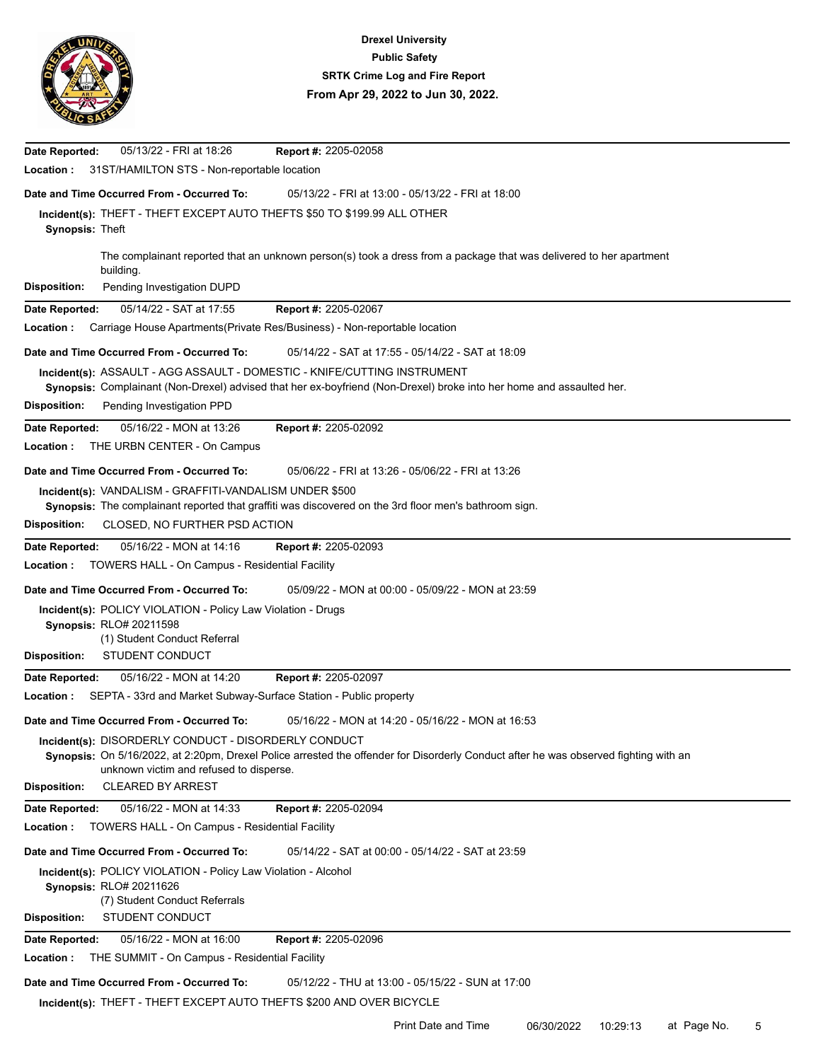

| 05/13/22 - FRI at 18:26<br>Report #: 2205-02058<br>Date Reported:                                                                       |
|-----------------------------------------------------------------------------------------------------------------------------------------|
| 31ST/HAMILTON STS - Non-reportable location<br>Location :                                                                               |
| Date and Time Occurred From - Occurred To:<br>05/13/22 - FRI at 13:00 - 05/13/22 - FRI at 18:00                                         |
| Incident(s): THEFT - THEFT EXCEPT AUTO THEFTS \$50 TO \$199.99 ALL OTHER<br><b>Synopsis: Theft</b>                                      |
| The complainant reported that an unknown person(s) took a dress from a package that was delivered to her apartment<br>building.         |
| Pending Investigation DUPD<br><b>Disposition:</b>                                                                                       |
| 05/14/22 - SAT at 17:55<br>Date Reported:<br>Report #: 2205-02067                                                                       |
| Location:<br>Carriage House Apartments (Private Res/Business) - Non-reportable location                                                 |
| Date and Time Occurred From - Occurred To:<br>05/14/22 - SAT at 17:55 - 05/14/22 - SAT at 18:09                                         |
| Incident(s): ASSAULT - AGG ASSAULT - DOMESTIC - KNIFE/CUTTING INSTRUMENT                                                                |
| Synopsis: Complainant (Non-Drexel) advised that her ex-boyfriend (Non-Drexel) broke into her home and assaulted her.                    |
| Pending Investigation PPD<br><b>Disposition:</b>                                                                                        |
| 05/16/22 - MON at 13:26<br>Report #: 2205-02092<br>Date Reported:                                                                       |
| THE URBN CENTER - On Campus<br>Location:                                                                                                |
| Date and Time Occurred From - Occurred To:<br>05/06/22 - FRI at 13:26 - 05/06/22 - FRI at 13:26                                         |
| Incident(s): VANDALISM - GRAFFITI-VANDALISM UNDER \$500                                                                                 |
| Synopsis: The complainant reported that graffiti was discovered on the 3rd floor men's bathroom sign.                                   |
| CLOSED, NO FURTHER PSD ACTION<br><b>Disposition:</b>                                                                                    |
| 05/16/22 - MON at 14:16<br>Report #: 2205-02093<br>Date Reported:                                                                       |
| Location:<br><b>TOWERS HALL - On Campus - Residential Facility</b>                                                                      |
| Date and Time Occurred From - Occurred To:<br>05/09/22 - MON at 00:00 - 05/09/22 - MON at 23:59                                         |
| Incident(s): POLICY VIOLATION - Policy Law Violation - Drugs                                                                            |
| Synopsis: RLO# 20211598<br>(1) Student Conduct Referral                                                                                 |
| STUDENT CONDUCT<br><b>Disposition:</b>                                                                                                  |
| 05/16/22 - MON at 14:20<br>Report #: 2205-02097<br>Date Reported:                                                                       |
| Location :<br>SEPTA - 33rd and Market Subway-Surface Station - Public property                                                          |
| 05/16/22 - MON at 14:20 - 05/16/22 - MON at 16:53<br>Date and Time Occurred From - Occurred To:                                         |
| Incident(s): DISORDERLY CONDUCT - DISORDERLY CONDUCT                                                                                    |
| Synopsis: On 5/16/2022, at 2:20pm, Drexel Police arrested the offender for Disorderly Conduct after he was observed fighting with an    |
| unknown victim and refused to disperse.<br><b>CLEARED BY ARREST</b><br><b>Disposition:</b>                                              |
|                                                                                                                                         |
| 05/16/22 - MON at 14:33<br>Report #: 2205-02094<br>Date Reported:<br>Location:<br><b>TOWERS HALL - On Campus - Residential Facility</b> |
| Date and Time Occurred From - Occurred To:<br>05/14/22 - SAT at 00:00 - 05/14/22 - SAT at 23:59                                         |
| Incident(s): POLICY VIOLATION - Policy Law Violation - Alcohol                                                                          |
| Synopsis: RLO# 20211626                                                                                                                 |
| (7) Student Conduct Referrals                                                                                                           |
| STUDENT CONDUCT<br><b>Disposition:</b>                                                                                                  |
| 05/16/22 - MON at 16:00<br><b>Report #: 2205-02096</b><br>Date Reported:                                                                |
| Location:<br>THE SUMMIT - On Campus - Residential Facility                                                                              |
| Date and Time Occurred From - Occurred To:<br>05/12/22 - THU at 13:00 - 05/15/22 - SUN at 17:00                                         |
| Incident(s): THEFT - THEFT EXCEPT AUTO THEFTS \$200 AND OVER BICYCLE                                                                    |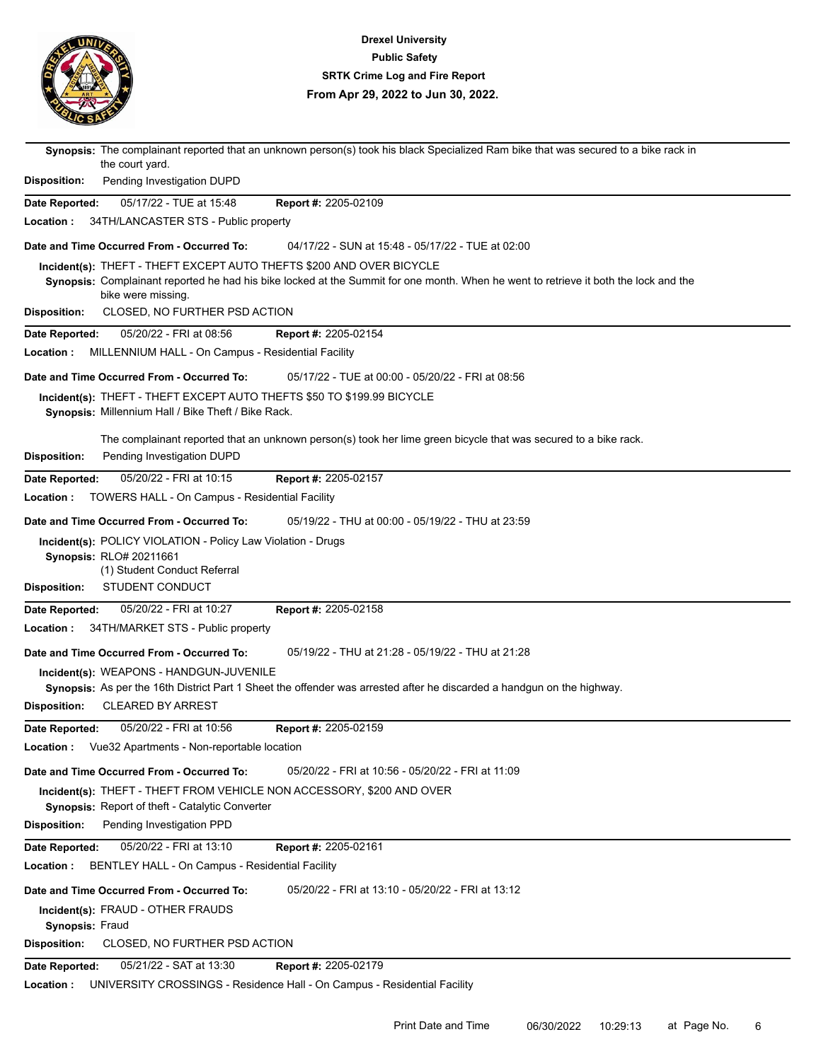

| Synopsis: The complainant reported that an unknown person(s) took his black Specialized Ram bike that was secured to a bike rack in<br>the court yard. |
|--------------------------------------------------------------------------------------------------------------------------------------------------------|
| <b>Disposition:</b><br>Pending Investigation DUPD                                                                                                      |
| 05/17/22 - TUE at 15:48<br>Report #: 2205-02109<br>Date Reported:                                                                                      |
| Location:<br>34TH/LANCASTER STS - Public property                                                                                                      |
| Date and Time Occurred From - Occurred To:<br>04/17/22 - SUN at 15:48 - 05/17/22 - TUE at 02:00                                                        |
| Incident(s): THEFT - THEFT EXCEPT AUTO THEFTS \$200 AND OVER BICYCLE                                                                                   |
| Synopsis: Complainant reported he had his bike locked at the Summit for one month. When he went to retrieve it both the lock and the                   |
| bike were missing.                                                                                                                                     |
| CLOSED, NO FURTHER PSD ACTION<br><b>Disposition:</b>                                                                                                   |
| 05/20/22 - FRI at 08:56<br><b>Report #: 2205-02154</b><br>Date Reported:                                                                               |
| MILLENNIUM HALL - On Campus - Residential Facility<br>Location:                                                                                        |
| Date and Time Occurred From - Occurred To:<br>05/17/22 - TUE at 00:00 - 05/20/22 - FRI at 08:56                                                        |
| Incident(s): THEFT - THEFT EXCEPT AUTO THEFTS \$50 TO \$199.99 BICYCLE                                                                                 |
| Synopsis: Millennium Hall / Bike Theft / Bike Rack.                                                                                                    |
| The complainant reported that an unknown person(s) took her lime green bicycle that was secured to a bike rack.                                        |
| Pending Investigation DUPD<br><b>Disposition:</b>                                                                                                      |
| 05/20/22 - FRI at 10:15<br>Report #: 2205-02157<br>Date Reported:                                                                                      |
| Location:<br>TOWERS HALL - On Campus - Residential Facility                                                                                            |
| Date and Time Occurred From - Occurred To:<br>05/19/22 - THU at 00:00 - 05/19/22 - THU at 23:59                                                        |
| Incident(s): POLICY VIOLATION - Policy Law Violation - Drugs                                                                                           |
| Synopsis: RLO# 20211661                                                                                                                                |
| (1) Student Conduct Referral                                                                                                                           |
| <b>STUDENT CONDUCT</b><br><b>Disposition:</b>                                                                                                          |
| 05/20/22 - FRI at 10:27<br>Report #: 2205-02158<br>Date Reported:                                                                                      |
| 34TH/MARKET STS - Public property<br>Location:                                                                                                         |
| 05/19/22 - THU at 21:28 - 05/19/22 - THU at 21:28<br>Date and Time Occurred From - Occurred To:                                                        |
| Incident(s): WEAPONS - HANDGUN-JUVENILE                                                                                                                |
| Synopsis: As per the 16th District Part 1 Sheet the offender was arrested after he discarded a handgun on the highway.                                 |
| <b>CLEARED BY ARREST</b><br><b>Disposition:</b>                                                                                                        |
| <b>Report #: 2205-02159</b><br>05/20/22 - FRI at 10:56<br>Date Reported:                                                                               |
| Vue32 Apartments - Non-reportable location<br>Location :                                                                                               |
| Date and Time Occurred From - Occurred To:<br>05/20/22 - FRI at 10:56 - 05/20/22 - FRI at 11:09                                                        |
| Incident(s): THEFT - THEFT FROM VEHICLE NON ACCESSORY, \$200 AND OVER                                                                                  |
| Synopsis: Report of theft - Catalytic Converter                                                                                                        |
| <b>Disposition:</b><br>Pending Investigation PPD                                                                                                       |
| 05/20/22 - FRI at 13:10<br>Report #: 2205-02161<br>Date Reported:                                                                                      |
| <b>BENTLEY HALL - On Campus - Residential Facility</b><br>Location:                                                                                    |
| Date and Time Occurred From - Occurred To:<br>05/20/22 - FRI at 13:10 - 05/20/22 - FRI at 13:12                                                        |
| Incident(s): FRAUD - OTHER FRAUDS                                                                                                                      |
| Synopsis: Fraud                                                                                                                                        |
| <b>Disposition:</b><br>CLOSED, NO FURTHER PSD ACTION                                                                                                   |
| 05/21/22 - SAT at 13:30<br>Report #: 2205-02179<br>Date Reported:                                                                                      |
| UNIVERSITY CROSSINGS - Residence Hall - On Campus - Residential Facility<br>Location:                                                                  |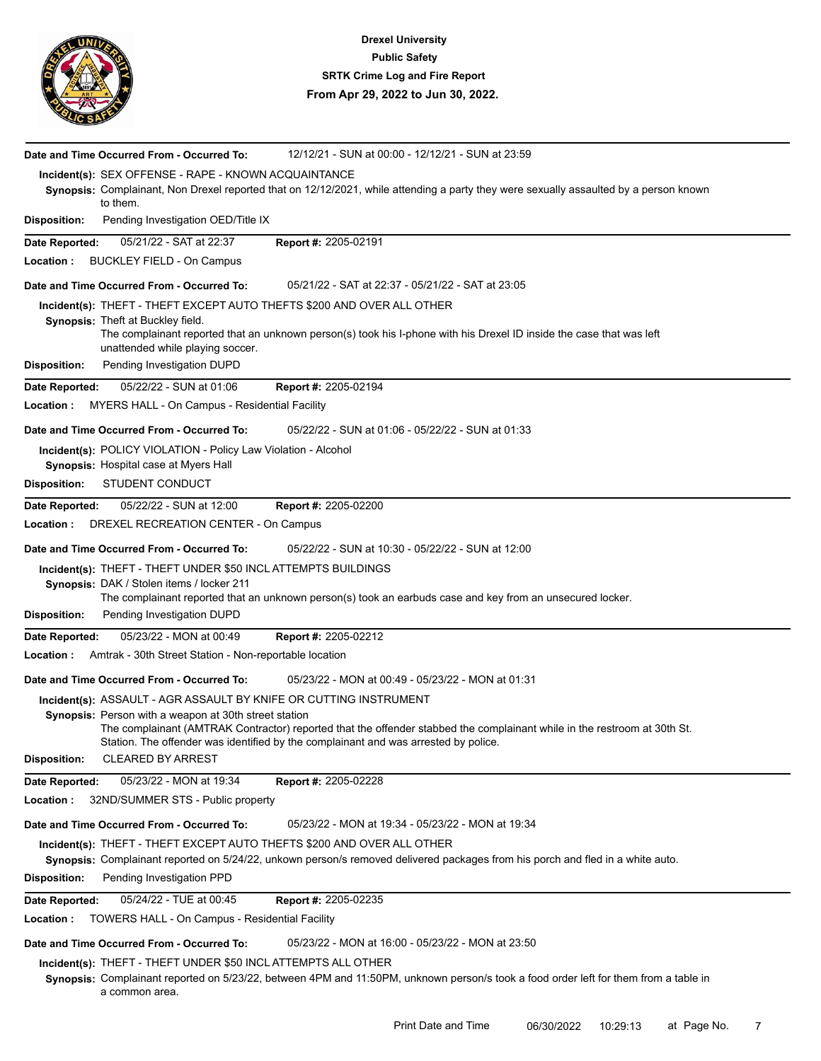

|                     | 12/12/21 - SUN at 00:00 - 12/12/21 - SUN at 23:59<br>Date and Time Occurred From - Occurred To:                                                                                                                                                                                                             |
|---------------------|-------------------------------------------------------------------------------------------------------------------------------------------------------------------------------------------------------------------------------------------------------------------------------------------------------------|
|                     | Incident(s): SEX OFFENSE - RAPE - KNOWN ACQUAINTANCE<br>Synopsis: Complainant, Non Drexel reported that on 12/12/2021, while attending a party they were sexually assaulted by a person known<br>to them.                                                                                                   |
| <b>Disposition:</b> | Pending Investigation OED/Title IX                                                                                                                                                                                                                                                                          |
| Date Reported:      | 05/21/22 - SAT at 22:37<br>Report #: 2205-02191                                                                                                                                                                                                                                                             |
| Location:           | <b>BUCKLEY FIELD - On Campus</b>                                                                                                                                                                                                                                                                            |
|                     | Date and Time Occurred From - Occurred To:<br>05/21/22 - SAT at 22:37 - 05/21/22 - SAT at 23:05                                                                                                                                                                                                             |
|                     | Incident(s): THEFT - THEFT EXCEPT AUTO THEFTS \$200 AND OVER ALL OTHER                                                                                                                                                                                                                                      |
|                     | Synopsis: Theft at Buckley field.<br>The complainant reported that an unknown person(s) took his I-phone with his Drexel ID inside the case that was left<br>unattended while playing soccer.                                                                                                               |
| <b>Disposition:</b> | Pending Investigation DUPD                                                                                                                                                                                                                                                                                  |
| Date Reported:      | 05/22/22 - SUN at 01:06<br>Report #: 2205-02194                                                                                                                                                                                                                                                             |
| Location:           | <b>MYERS HALL - On Campus - Residential Facility</b>                                                                                                                                                                                                                                                        |
|                     | Date and Time Occurred From - Occurred To:<br>05/22/22 - SUN at 01:06 - 05/22/22 - SUN at 01:33                                                                                                                                                                                                             |
|                     | Incident(s): POLICY VIOLATION - Policy Law Violation - Alcohol<br>Synopsis: Hospital case at Myers Hall                                                                                                                                                                                                     |
| <b>Disposition:</b> | <b>STUDENT CONDUCT</b>                                                                                                                                                                                                                                                                                      |
| Date Reported:      | 05/22/22 - SUN at 12:00<br>Report #: 2205-02200                                                                                                                                                                                                                                                             |
| Location:           | DREXEL RECREATION CENTER - On Campus                                                                                                                                                                                                                                                                        |
|                     | Date and Time Occurred From - Occurred To:<br>05/22/22 - SUN at 10:30 - 05/22/22 - SUN at 12:00                                                                                                                                                                                                             |
|                     | Incident(s): THEFT - THEFT UNDER \$50 INCL ATTEMPTS BUILDINGS                                                                                                                                                                                                                                               |
|                     | Synopsis: DAK / Stolen items / locker 211<br>The complainant reported that an unknown person(s) took an earbuds case and key from an unsecured locker.                                                                                                                                                      |
| <b>Disposition:</b> | Pending Investigation DUPD                                                                                                                                                                                                                                                                                  |
| Date Reported:      | 05/23/22 - MON at 00:49<br>Report #: 2205-02212                                                                                                                                                                                                                                                             |
| Location:           | Amtrak - 30th Street Station - Non-reportable location                                                                                                                                                                                                                                                      |
|                     | 05/23/22 - MON at 00:49 - 05/23/22 - MON at 01:31<br>Date and Time Occurred From - Occurred To:                                                                                                                                                                                                             |
|                     | Incident(s): ASSAULT - AGR ASSAULT BY KNIFE OR CUTTING INSTRUMENT                                                                                                                                                                                                                                           |
| <b>Disposition:</b> | <b>Synopsis:</b> Person with a weapon at 30th street station<br>The complainant (AMTRAK Contractor) reported that the offender stabbed the complainant while in the restroom at 30th St.<br>Station. The offender was identified by the complainant and was arrested by police.<br><b>CLEARED BY ARREST</b> |
| Date Reported:      | 05/23/22 - MON at 19:34<br>Report #: 2205-02228                                                                                                                                                                                                                                                             |
| Location:           | 32ND/SUMMER STS - Public property                                                                                                                                                                                                                                                                           |
|                     | Date and Time Occurred From - Occurred To:<br>05/23/22 - MON at 19:34 - 05/23/22 - MON at 19:34                                                                                                                                                                                                             |
|                     | Incident(s): THEFT - THEFT EXCEPT AUTO THEFTS \$200 AND OVER ALL OTHER<br>Synopsis: Complainant reported on 5/24/22, unkown person/s removed delivered packages from his porch and fled in a white auto.                                                                                                    |
| <b>Disposition:</b> | Pending Investigation PPD                                                                                                                                                                                                                                                                                   |
| Date Reported:      | 05/24/22 - TUE at 00:45<br>Report #: 2205-02235                                                                                                                                                                                                                                                             |
| Location :          | TOWERS HALL - On Campus - Residential Facility                                                                                                                                                                                                                                                              |
|                     | Date and Time Occurred From - Occurred To:<br>05/23/22 - MON at 16:00 - 05/23/22 - MON at 23:50                                                                                                                                                                                                             |
|                     | Incident(s): THEFT - THEFT UNDER \$50 INCL ATTEMPTS ALL OTHER                                                                                                                                                                                                                                               |
|                     | Synopsis: Complainant reported on 5/23/22, between 4PM and 11:50PM, unknown person/s took a food order left for them from a table in<br>a common area.                                                                                                                                                      |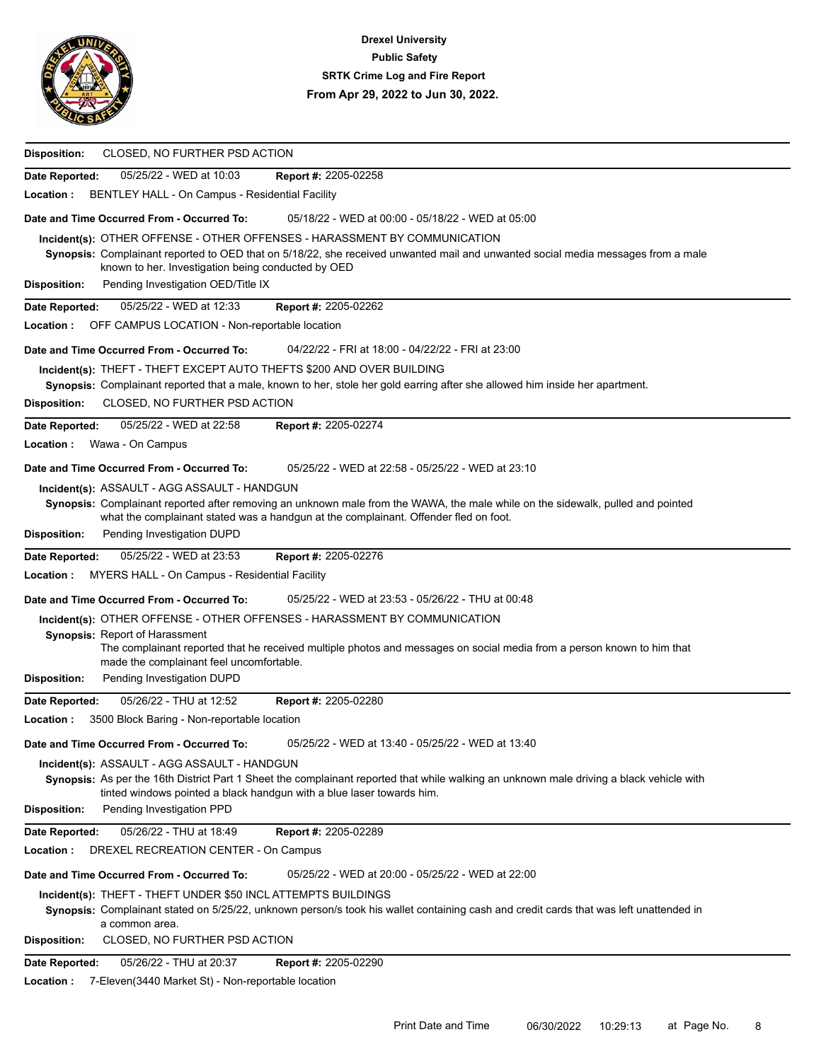

| <b>Disposition:</b><br>CLOSED, NO FURTHER PSD ACTION                                                                                                                                                    |
|---------------------------------------------------------------------------------------------------------------------------------------------------------------------------------------------------------|
| 05/25/22 - WED at 10:03<br>Report #: 2205-02258<br>Date Reported:                                                                                                                                       |
| Location:<br>BENTLEY HALL - On Campus - Residential Facility                                                                                                                                            |
| Date and Time Occurred From - Occurred To:<br>05/18/22 - WED at 00:00 - 05/18/22 - WED at 05:00                                                                                                         |
| Incident(s): OTHER OFFENSE - OTHER OFFENSES - HARASSMENT BY COMMUNICATION                                                                                                                               |
| Synopsis: Complainant reported to OED that on 5/18/22, she received unwanted mail and unwanted social media messages from a male                                                                        |
| known to her. Investigation being conducted by OED<br>Pending Investigation OED/Title IX<br><b>Disposition:</b>                                                                                         |
| Date Reported:<br>05/25/22 - WED at 12:33<br><b>Report #: 2205-02262</b>                                                                                                                                |
| OFF CAMPUS LOCATION - Non-reportable location<br>Location :                                                                                                                                             |
| 04/22/22 - FRI at 18:00 - 04/22/22 - FRI at 23:00                                                                                                                                                       |
| Date and Time Occurred From - Occurred To:<br>Incident(s): THEFT - THEFT EXCEPT AUTO THEFTS \$200 AND OVER BUILDING                                                                                     |
| Synopsis: Complainant reported that a male, known to her, stole her gold earring after she allowed him inside her apartment.                                                                            |
| <b>Disposition:</b><br>CLOSED, NO FURTHER PSD ACTION                                                                                                                                                    |
| 05/25/22 - WED at 22:58<br>Report #: 2205-02274<br>Date Reported:                                                                                                                                       |
| Location:<br>Wawa - On Campus                                                                                                                                                                           |
| Date and Time Occurred From - Occurred To:<br>05/25/22 - WED at 22:58 - 05/25/22 - WED at 23:10                                                                                                         |
| Incident(s): ASSAULT - AGG ASSAULT - HANDGUN                                                                                                                                                            |
| Synopsis: Complainant reported after removing an unknown male from the WAWA, the male while on the sidewalk, pulled and pointed                                                                         |
| what the complainant stated was a handgun at the complainant. Offender fled on foot.                                                                                                                    |
| Pending Investigation DUPD<br><b>Disposition:</b>                                                                                                                                                       |
| Report #: 2205-02276<br>Date Reported:<br>05/25/22 - WED at 23:53                                                                                                                                       |
| Location:<br><b>MYERS HALL - On Campus - Residential Facility</b>                                                                                                                                       |
| 05/25/22 - WED at 23:53 - 05/26/22 - THU at 00:48<br>Date and Time Occurred From - Occurred To:                                                                                                         |
| Incident(s): OTHER OFFENSE - OTHER OFFENSES - HARASSMENT BY COMMUNICATION                                                                                                                               |
| <b>Synopsis: Report of Harassment</b><br>The complainant reported that he received multiple photos and messages on social media from a person known to him that                                         |
| made the complainant feel uncomfortable.                                                                                                                                                                |
| <b>Disposition:</b><br>Pending Investigation DUPD                                                                                                                                                       |
| 05/26/22 - THU at 12:52<br>Report #: 2205-02280<br>Date Reported:                                                                                                                                       |
| Location :<br>3500 Block Baring - Non-reportable location                                                                                                                                               |
| 05/25/22 - WED at 13:40 - 05/25/22 - WED at 13:40<br>Date and Time Occurred From - Occurred To:                                                                                                         |
| Incident(s): ASSAULT - AGG ASSAULT - HANDGUN                                                                                                                                                            |
| Synopsis: As per the 16th District Part 1 Sheet the complainant reported that while walking an unknown male driving a black vehicle with                                                                |
| tinted windows pointed a black handgun with a blue laser towards him.<br>Pending Investigation PPD<br><b>Disposition:</b>                                                                               |
| 05/26/22 - THU at 18:49<br>Date Reported:<br>Report #: 2205-02289                                                                                                                                       |
| Location:<br>DREXEL RECREATION CENTER - On Campus                                                                                                                                                       |
|                                                                                                                                                                                                         |
| Date and Time Occurred From - Occurred To:<br>05/25/22 - WED at 20:00 - 05/25/22 - WED at 22:00                                                                                                         |
| Incident(s): THEFT - THEFT UNDER \$50 INCL ATTEMPTS BUILDINGS<br>Synopsis: Complainant stated on 5/25/22, unknown person/s took his wallet containing cash and credit cards that was left unattended in |
| a common area.                                                                                                                                                                                          |
| <b>Disposition:</b><br>CLOSED, NO FURTHER PSD ACTION                                                                                                                                                    |
| 05/26/22 - THU at 20:37<br>Report #: 2205-02290<br>Date Reported:                                                                                                                                       |
| Location :<br>7-Eleven(3440 Market St) - Non-reportable location                                                                                                                                        |
|                                                                                                                                                                                                         |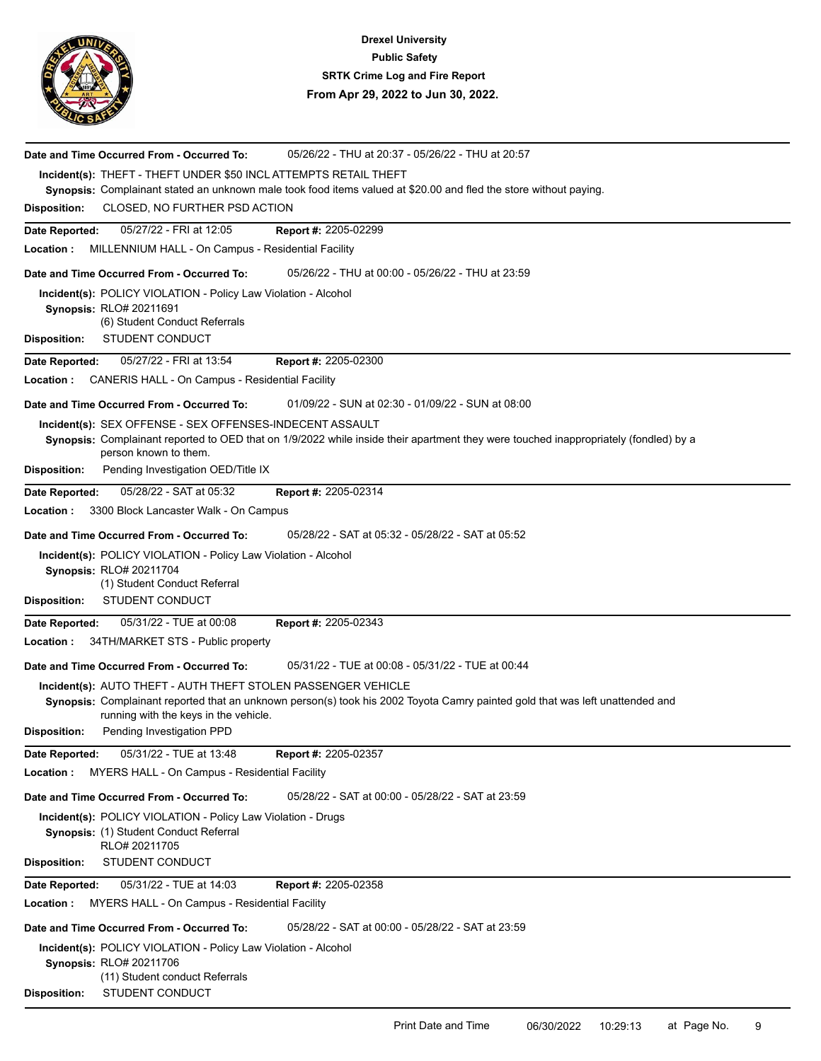

| 05/26/22 - THU at 20:37 - 05/26/22 - THU at 20:57<br>Date and Time Occurred From - Occurred To:                                      |
|--------------------------------------------------------------------------------------------------------------------------------------|
| Incident(s): THEFT - THEFT UNDER \$50 INCL ATTEMPTS RETAIL THEFT                                                                     |
| Synopsis: Complainant stated an unknown male took food items valued at \$20.00 and fled the store without paying.                    |
| <b>Disposition:</b><br>CLOSED, NO FURTHER PSD ACTION                                                                                 |
| 05/27/22 - FRI at 12:05<br>Report #: 2205-02299<br>Date Reported:                                                                    |
| Location:<br>MILLENNIUM HALL - On Campus - Residential Facility                                                                      |
| Date and Time Occurred From - Occurred To:<br>05/26/22 - THU at 00:00 - 05/26/22 - THU at 23:59                                      |
| Incident(s): POLICY VIOLATION - Policy Law Violation - Alcohol                                                                       |
| Synopsis: RLO# 20211691<br>(6) Student Conduct Referrals                                                                             |
| <b>Disposition:</b><br>STUDENT CONDUCT                                                                                               |
| 05/27/22 - FRI at 13:54<br>Report #: 2205-02300<br>Date Reported:                                                                    |
| Location:<br><b>CANERIS HALL - On Campus - Residential Facility</b>                                                                  |
| Date and Time Occurred From - Occurred To:<br>01/09/22 - SUN at 02:30 - 01/09/22 - SUN at 08:00                                      |
| Incident(s): SEX OFFENSE - SEX OFFENSES-INDECENT ASSAULT                                                                             |
| Synopsis: Complainant reported to OED that on 1/9/2022 while inside their apartment they were touched inappropriately (fondled) by a |
| person known to them.                                                                                                                |
| Pending Investigation OED/Title IX<br><b>Disposition:</b>                                                                            |
| 05/28/22 - SAT at 05:32<br><b>Report #: 2205-02314</b><br>Date Reported:                                                             |
| 3300 Block Lancaster Walk - On Campus<br>Location:                                                                                   |
| Date and Time Occurred From - Occurred To:<br>05/28/22 - SAT at 05:32 - 05/28/22 - SAT at 05:52                                      |
| Incident(s): POLICY VIOLATION - Policy Law Violation - Alcohol                                                                       |
| Synopsis: RLO# 20211704<br>(1) Student Conduct Referral                                                                              |
| <b>Disposition:</b><br>STUDENT CONDUCT                                                                                               |
| 05/31/22 - TUE at 00:08<br>Report #: 2205-02343<br><b>Date Reported:</b>                                                             |
| Location:<br>34TH/MARKET STS - Public property                                                                                       |
| Date and Time Occurred From - Occurred To:<br>05/31/22 - TUE at 00:08 - 05/31/22 - TUE at 00:44                                      |
| Incident(s): AUTO THEFT - AUTH THEFT STOLEN PASSENGER VEHICLE                                                                        |
| Synopsis: Complainant reported that an unknown person(s) took his 2002 Toyota Camry painted gold that was left unattended and        |
| running with the keys in the vehicle.                                                                                                |
| Pending Investigation PPD<br>Disposition:                                                                                            |
| 05/31/22 - TUE at 13:48<br>Report #: 2205-02357<br>Date Reported:                                                                    |
| Location :<br>MYERS HALL - On Campus - Residential Facility                                                                          |
| Date and Time Occurred From - Occurred To:<br>05/28/22 - SAT at 00:00 - 05/28/22 - SAT at 23:59                                      |
| Incident(s): POLICY VIOLATION - Policy Law Violation - Drugs                                                                         |
| Synopsis: (1) Student Conduct Referral<br>RLO# 20211705                                                                              |
| STUDENT CONDUCT<br><b>Disposition:</b>                                                                                               |
| 05/31/22 - TUE at 14:03<br>Date Reported:<br><b>Report #: 2205-02358</b>                                                             |
| MYERS HALL - On Campus - Residential Facility<br>Location :                                                                          |
| 05/28/22 - SAT at 00:00 - 05/28/22 - SAT at 23:59<br>Date and Time Occurred From - Occurred To:                                      |
| Incident(s): POLICY VIOLATION - Policy Law Violation - Alcohol                                                                       |
| Synopsis: RLO# 20211706                                                                                                              |
| (11) Student conduct Referrals                                                                                                       |
| STUDENT CONDUCT<br><b>Disposition:</b>                                                                                               |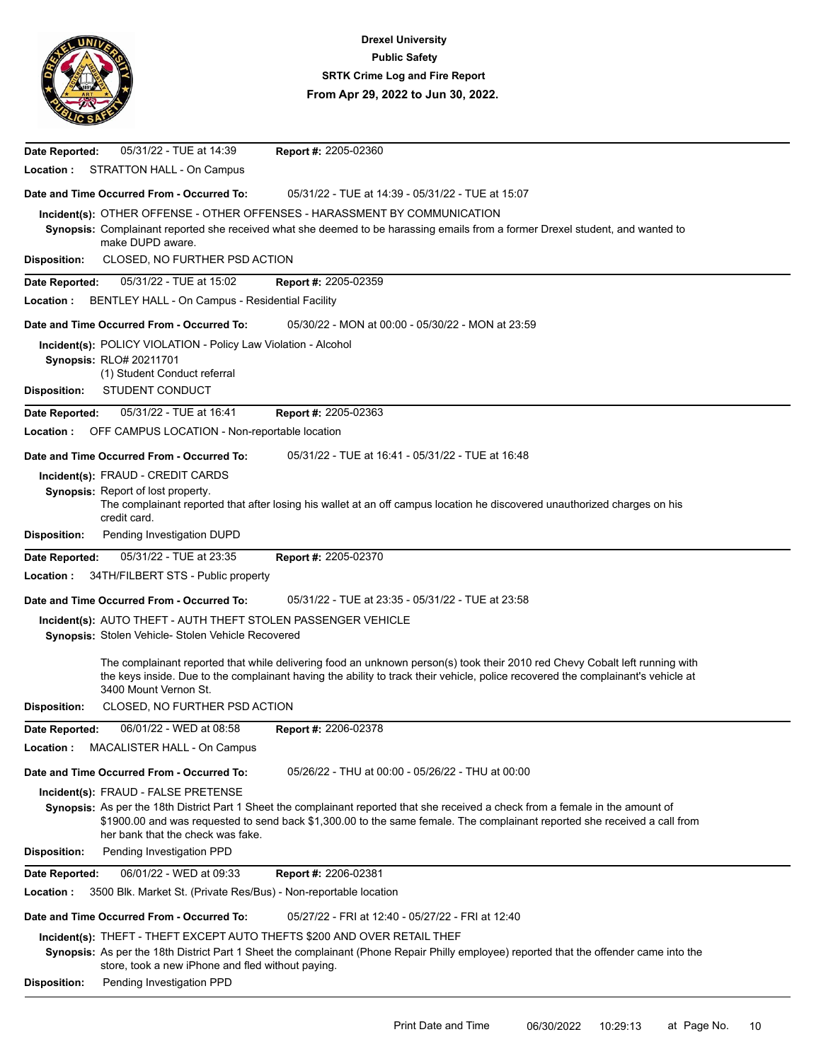

| 05/31/22 - TUE at 14:39<br>Report #: 2205-02360<br>Date Reported:                                                                                                                                                                                                                                   |
|-----------------------------------------------------------------------------------------------------------------------------------------------------------------------------------------------------------------------------------------------------------------------------------------------------|
| <b>Location:</b><br><b>STRATTON HALL - On Campus</b>                                                                                                                                                                                                                                                |
| 05/31/22 - TUE at 14:39 - 05/31/22 - TUE at 15:07<br>Date and Time Occurred From - Occurred To:                                                                                                                                                                                                     |
| Incident(s): OTHER OFFENSE - OTHER OFFENSES - HARASSMENT BY COMMUNICATION                                                                                                                                                                                                                           |
| Synopsis: Complainant reported she received what she deemed to be harassing emails from a former Drexel student, and wanted to<br>make DUPD aware.                                                                                                                                                  |
| CLOSED, NO FURTHER PSD ACTION<br><b>Disposition:</b>                                                                                                                                                                                                                                                |
| 05/31/22 - TUE at 15:02<br>Report #: 2205-02359<br>Date Reported:                                                                                                                                                                                                                                   |
| BENTLEY HALL - On Campus - Residential Facility<br>Location:                                                                                                                                                                                                                                        |
| 05/30/22 - MON at 00:00 - 05/30/22 - MON at 23:59<br>Date and Time Occurred From - Occurred To:                                                                                                                                                                                                     |
| Incident(s): POLICY VIOLATION - Policy Law Violation - Alcohol<br>Synopsis: RLO# 20211701<br>(1) Student Conduct referral<br>STUDENT CONDUCT<br><b>Disposition:</b>                                                                                                                                 |
| 05/31/22 - TUE at 16:41<br>Report #: 2205-02363<br>Date Reported:                                                                                                                                                                                                                                   |
| <b>Location:</b><br>OFF CAMPUS LOCATION - Non-reportable location                                                                                                                                                                                                                                   |
| Date and Time Occurred From - Occurred To:<br>05/31/22 - TUE at 16:41 - 05/31/22 - TUE at 16:48                                                                                                                                                                                                     |
| Incident(s): FRAUD - CREDIT CARDS                                                                                                                                                                                                                                                                   |
| Synopsis: Report of lost property.<br>The complainant reported that after losing his wallet at an off campus location he discovered unauthorized charges on his<br>credit card.                                                                                                                     |
| Pending Investigation DUPD<br><b>Disposition:</b>                                                                                                                                                                                                                                                   |
| Report #: 2205-02370<br>Date Reported:<br>05/31/22 - TUE at 23:35                                                                                                                                                                                                                                   |
| 34TH/FILBERT STS - Public property<br>Location:                                                                                                                                                                                                                                                     |
| Date and Time Occurred From - Occurred To:<br>05/31/22 - TUE at 23:35 - 05/31/22 - TUE at 23:58                                                                                                                                                                                                     |
| Incident(s): AUTO THEFT - AUTH THEFT STOLEN PASSENGER VEHICLE<br>Synopsis: Stolen Vehicle- Stolen Vehicle Recovered                                                                                                                                                                                 |
| The complainant reported that while delivering food an unknown person(s) took their 2010 red Chevy Cobalt left running with<br>the keys inside. Due to the complainant having the ability to track their vehicle, police recovered the complainant's vehicle at<br>3400 Mount Vernon St.            |
| CLOSED, NO FURTHER PSD ACTION<br><b>Disposition:</b>                                                                                                                                                                                                                                                |
| 06/01/22 - WED at 08:58<br>Report #: 2206-02378<br>Date Reported:                                                                                                                                                                                                                                   |
| MACALISTER HALL - On Campus<br>Location :                                                                                                                                                                                                                                                           |
| Date and Time Occurred From - Occurred To:<br>05/26/22 - THU at 00:00 - 05/26/22 - THU at 00:00                                                                                                                                                                                                     |
| Incident(s): FRAUD - FALSE PRETENSE                                                                                                                                                                                                                                                                 |
| Synopsis: As per the 18th District Part 1 Sheet the complainant reported that she received a check from a female in the amount of<br>\$1900.00 and was requested to send back \$1,300.00 to the same female. The complainant reported she received a call from<br>her bank that the check was fake. |
| <b>Disposition:</b><br>Pending Investigation PPD                                                                                                                                                                                                                                                    |
| 06/01/22 - WED at 09:33<br>Report #: 2206-02381<br>Date Reported:                                                                                                                                                                                                                                   |
| Location:<br>3500 Blk. Market St. (Private Res/Bus) - Non-reportable location                                                                                                                                                                                                                       |
| 05/27/22 - FRI at 12:40 - 05/27/22 - FRI at 12:40<br>Date and Time Occurred From - Occurred To:                                                                                                                                                                                                     |
| Incident(s): THEFT - THEFT EXCEPT AUTO THEFTS \$200 AND OVER RETAIL THEF<br>Synopsis: As per the 18th District Part 1 Sheet the complainant (Phone Repair Philly employee) reported that the offender came into the<br>store, took a new iPhone and fled without paying.                            |
| Pending Investigation PPD<br><b>Disposition:</b>                                                                                                                                                                                                                                                    |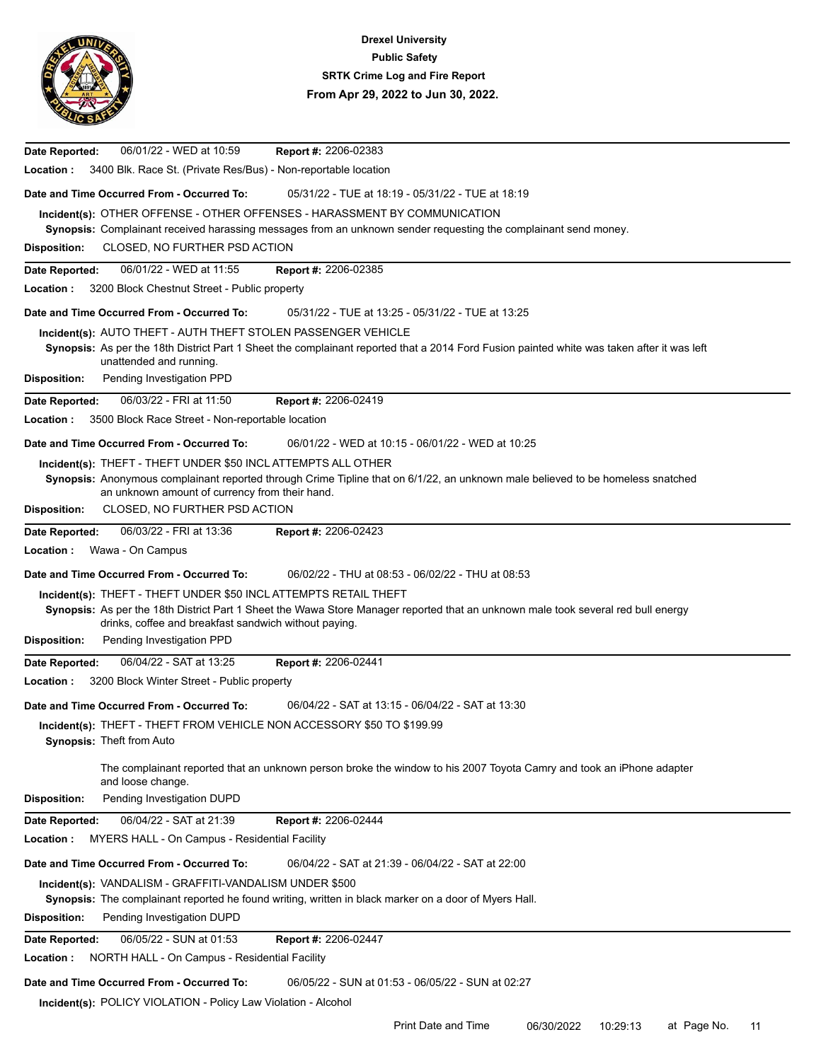

| 06/01/22 - WED at 10:59<br>Report #: 2206-02383<br>Date Reported:                                                                                                                                |
|--------------------------------------------------------------------------------------------------------------------------------------------------------------------------------------------------|
|                                                                                                                                                                                                  |
| Location:<br>3400 Blk. Race St. (Private Res/Bus) - Non-reportable location                                                                                                                      |
| Date and Time Occurred From - Occurred To:<br>05/31/22 - TUE at 18:19 - 05/31/22 - TUE at 18:19                                                                                                  |
| Incident(s): OTHER OFFENSE - OTHER OFFENSES - HARASSMENT BY COMMUNICATION                                                                                                                        |
| Synopsis: Complainant received harassing messages from an unknown sender requesting the complainant send money.                                                                                  |
| CLOSED, NO FURTHER PSD ACTION<br><b>Disposition:</b>                                                                                                                                             |
| 06/01/22 - WED at 11:55<br>Report #: 2206-02385<br>Date Reported:                                                                                                                                |
| Location:<br>3200 Block Chestnut Street - Public property                                                                                                                                        |
| Date and Time Occurred From - Occurred To:<br>05/31/22 - TUE at 13:25 - 05/31/22 - TUE at 13:25                                                                                                  |
| Incident(s): AUTO THEFT - AUTH THEFT STOLEN PASSENGER VEHICLE                                                                                                                                    |
| Synopsis: As per the 18th District Part 1 Sheet the complainant reported that a 2014 Ford Fusion painted white was taken after it was left<br>unattended and running.                            |
| Pending Investigation PPD<br><b>Disposition:</b>                                                                                                                                                 |
| 06/03/22 - FRI at 11:50<br>Report #: 2206-02419<br>Date Reported:                                                                                                                                |
| Location :<br>3500 Block Race Street - Non-reportable location                                                                                                                                   |
|                                                                                                                                                                                                  |
| 06/01/22 - WED at 10:15 - 06/01/22 - WED at 10:25<br>Date and Time Occurred From - Occurred To:                                                                                                  |
| Incident(s): THEFT - THEFT UNDER \$50 INCL ATTEMPTS ALL OTHER<br>Synopsis: Anonymous complainant reported through Crime Tipline that on 6/1/22, an unknown male believed to be homeless snatched |
| an unknown amount of currency from their hand.                                                                                                                                                   |
| CLOSED, NO FURTHER PSD ACTION<br><b>Disposition:</b>                                                                                                                                             |
| 06/03/22 - FRI at 13:36<br>Report #: 2206-02423<br>Date Reported:                                                                                                                                |
| Wawa - On Campus<br>Location:                                                                                                                                                                    |
| 06/02/22 - THU at 08:53 - 06/02/22 - THU at 08:53<br>Date and Time Occurred From - Occurred To:                                                                                                  |
| Incident(s): THEFT - THEFT UNDER \$50 INCL ATTEMPTS RETAIL THEFT                                                                                                                                 |
| Synopsis: As per the 18th District Part 1 Sheet the Wawa Store Manager reported that an unknown male took several red bull energy                                                                |
| drinks, coffee and breakfast sandwich without paying.<br>Pending Investigation PPD                                                                                                               |
| Disposition:                                                                                                                                                                                     |
| 06/04/22 - SAT at 13:25<br>Report #: 2206-02441<br>Date Reported:<br>Location :<br>3200 Block Winter Street - Public property                                                                    |
|                                                                                                                                                                                                  |
|                                                                                                                                                                                                  |
| 06/04/22 - SAT at 13:15 - 06/04/22 - SAT at 13:30<br>Date and Time Occurred From - Occurred To:                                                                                                  |
| Incident(s): THEFT - THEFT FROM VEHICLE NON ACCESSORY \$50 TO \$199.99                                                                                                                           |
| <b>Synopsis: Theft from Auto</b>                                                                                                                                                                 |
| The complainant reported that an unknown person broke the window to his 2007 Toyota Camry and took an iPhone adapter                                                                             |
| and loose change.                                                                                                                                                                                |
| Pending Investigation DUPD<br><b>Disposition:</b>                                                                                                                                                |
| 06/04/22 - SAT at 21:39<br>Report #: 2206-02444<br>Date Reported:                                                                                                                                |
| Location:<br>MYERS HALL - On Campus - Residential Facility                                                                                                                                       |
| Date and Time Occurred From - Occurred To:<br>06/04/22 - SAT at 21:39 - 06/04/22 - SAT at 22:00                                                                                                  |
| Incident(s): VANDALISM - GRAFFITI-VANDALISM UNDER \$500                                                                                                                                          |
| Synopsis: The complainant reported he found writing, written in black marker on a door of Myers Hall.                                                                                            |
| Pending Investigation DUPD<br><b>Disposition:</b>                                                                                                                                                |
| 06/05/22 - SUN at 01:53<br>Report #: 2206-02447<br>Date Reported:                                                                                                                                |
| Location :<br>NORTH HALL - On Campus - Residential Facility                                                                                                                                      |
| Date and Time Occurred From - Occurred To:<br>06/05/22 - SUN at 01:53 - 06/05/22 - SUN at 02:27<br>Incident(s): POLICY VIOLATION - Policy Law Violation - Alcohol                                |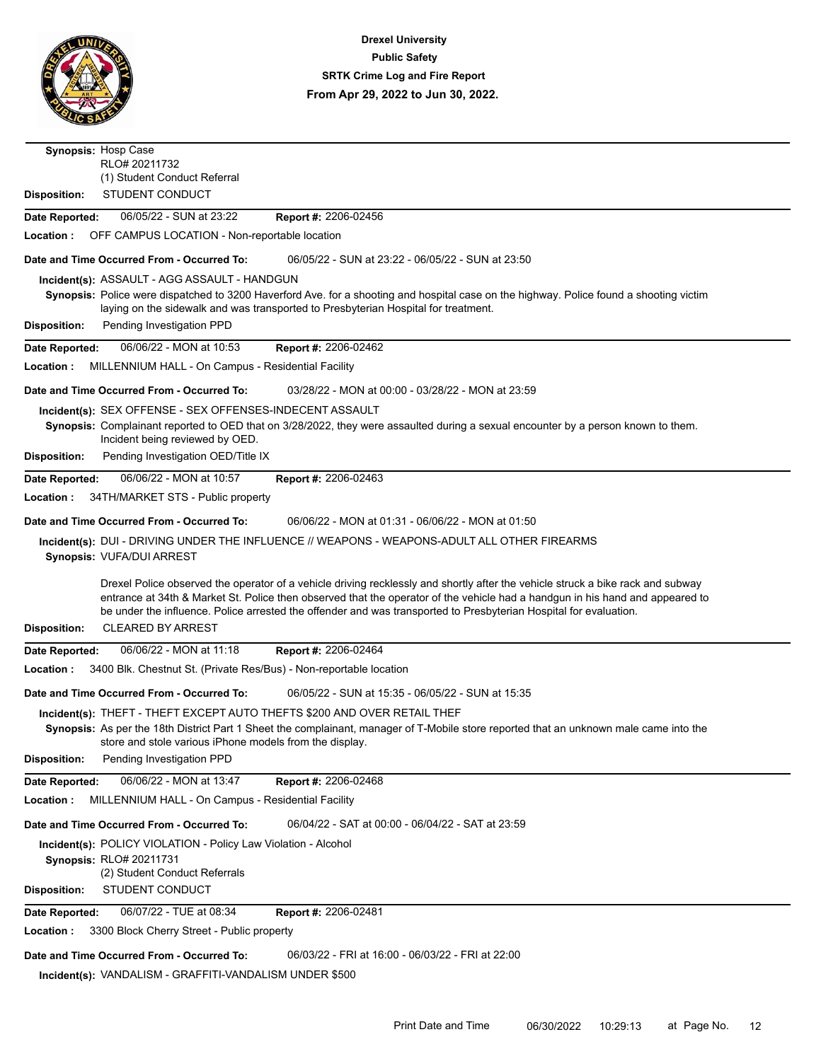

| Synopsis: Hosp Case                                                                                                                                                                                                                                              |
|------------------------------------------------------------------------------------------------------------------------------------------------------------------------------------------------------------------------------------------------------------------|
| RLO# 20211732<br>(1) Student Conduct Referral                                                                                                                                                                                                                    |
| STUDENT CONDUCT<br><b>Disposition:</b>                                                                                                                                                                                                                           |
| Date Reported:<br>06/05/22 - SUN at 23:22<br><b>Report #: 2206-02456</b>                                                                                                                                                                                         |
| Location :<br>OFF CAMPUS LOCATION - Non-reportable location                                                                                                                                                                                                      |
|                                                                                                                                                                                                                                                                  |
| 06/05/22 - SUN at 23:22 - 06/05/22 - SUN at 23:50<br>Date and Time Occurred From - Occurred To:                                                                                                                                                                  |
| Incident(s): ASSAULT - AGG ASSAULT - HANDGUN<br>Synopsis: Police were dispatched to 3200 Haverford Ave. for a shooting and hospital case on the highway. Police found a shooting victim                                                                          |
| laying on the sidewalk and was transported to Presbyterian Hospital for treatment.                                                                                                                                                                               |
| Pending Investigation PPD<br><b>Disposition:</b>                                                                                                                                                                                                                 |
| 06/06/22 - MON at 10:53<br>Report #: 2206-02462<br>Date Reported:                                                                                                                                                                                                |
| Location :<br>MILLENNIUM HALL - On Campus - Residential Facility                                                                                                                                                                                                 |
| Date and Time Occurred From - Occurred To:<br>03/28/22 - MON at 00:00 - 03/28/22 - MON at 23:59                                                                                                                                                                  |
| Incident(s): SEX OFFENSE - SEX OFFENSES-INDECENT ASSAULT                                                                                                                                                                                                         |
| Synopsis: Complainant reported to OED that on 3/28/2022, they were assaulted during a sexual encounter by a person known to them.                                                                                                                                |
| Incident being reviewed by OED.                                                                                                                                                                                                                                  |
| Pending Investigation OED/Title IX<br><b>Disposition:</b>                                                                                                                                                                                                        |
| 06/06/22 - MON at 10:57<br>Report #: 2206-02463<br>Date Reported:                                                                                                                                                                                                |
| Location:<br>34TH/MARKET STS - Public property                                                                                                                                                                                                                   |
| 06/06/22 - MON at 01:31 - 06/06/22 - MON at 01:50<br>Date and Time Occurred From - Occurred To:                                                                                                                                                                  |
| Incident(s): DUI - DRIVING UNDER THE INFLUENCE // WEAPONS - WEAPONS-ADULT ALL OTHER FIREARMS<br>Synopsis: VUFA/DUI ARREST                                                                                                                                        |
| Drexel Police observed the operator of a vehicle driving recklessly and shortly after the vehicle struck a bike rack and subway<br>entrance at 34th & Market St. Police then observed that the operator of the vehicle had a handgun in his hand and appeared to |
| be under the influence. Police arrested the offender and was transported to Presbyterian Hospital for evaluation.                                                                                                                                                |
| <b>CLEARED BY ARREST</b><br><b>Disposition:</b>                                                                                                                                                                                                                  |
| 06/06/22 - MON at 11:18<br>Report #: 2206-02464<br>Date Reported:                                                                                                                                                                                                |
| Location:<br>3400 Blk. Chestnut St. (Private Res/Bus) - Non-reportable location                                                                                                                                                                                  |
| 06/05/22 - SUN at 15:35 - 06/05/22 - SUN at 15:35<br>Date and Time Occurred From - Occurred To:                                                                                                                                                                  |
| Incident(s): THEFT - THEFT EXCEPT AUTO THEFTS \$200 AND OVER RETAIL THEF                                                                                                                                                                                         |
| Synopsis: As per the 18th District Part 1 Sheet the complainant, manager of T-Mobile store reported that an unknown male came into the<br>store and stole various iPhone models from the display.                                                                |
| <b>Disposition:</b><br>Pending Investigation PPD                                                                                                                                                                                                                 |
| 06/06/22 - MON at 13:47<br>Report #: 2206-02468<br>Date Reported:                                                                                                                                                                                                |
| Location:<br>MILLENNIUM HALL - On Campus - Residential Facility                                                                                                                                                                                                  |
| Date and Time Occurred From - Occurred To:<br>06/04/22 - SAT at 00:00 - 06/04/22 - SAT at 23:59                                                                                                                                                                  |
| Incident(s): POLICY VIOLATION - Policy Law Violation - Alcohol<br>Synopsis: RLO# 20211731                                                                                                                                                                        |
| (2) Student Conduct Referrals<br>STUDENT CONDUCT<br><b>Disposition:</b>                                                                                                                                                                                          |
| 06/07/22 - TUE at 08:34<br>Report #: 2206-02481<br>Date Reported:                                                                                                                                                                                                |
| 3300 Block Cherry Street - Public property<br>Location :                                                                                                                                                                                                         |
| Date and Time Occurred From - Occurred To:<br>06/03/22 - FRI at 16:00 - 06/03/22 - FRI at 22:00                                                                                                                                                                  |
| Incident(s): VANDALISM - GRAFFITI-VANDALISM UNDER \$500                                                                                                                                                                                                          |
|                                                                                                                                                                                                                                                                  |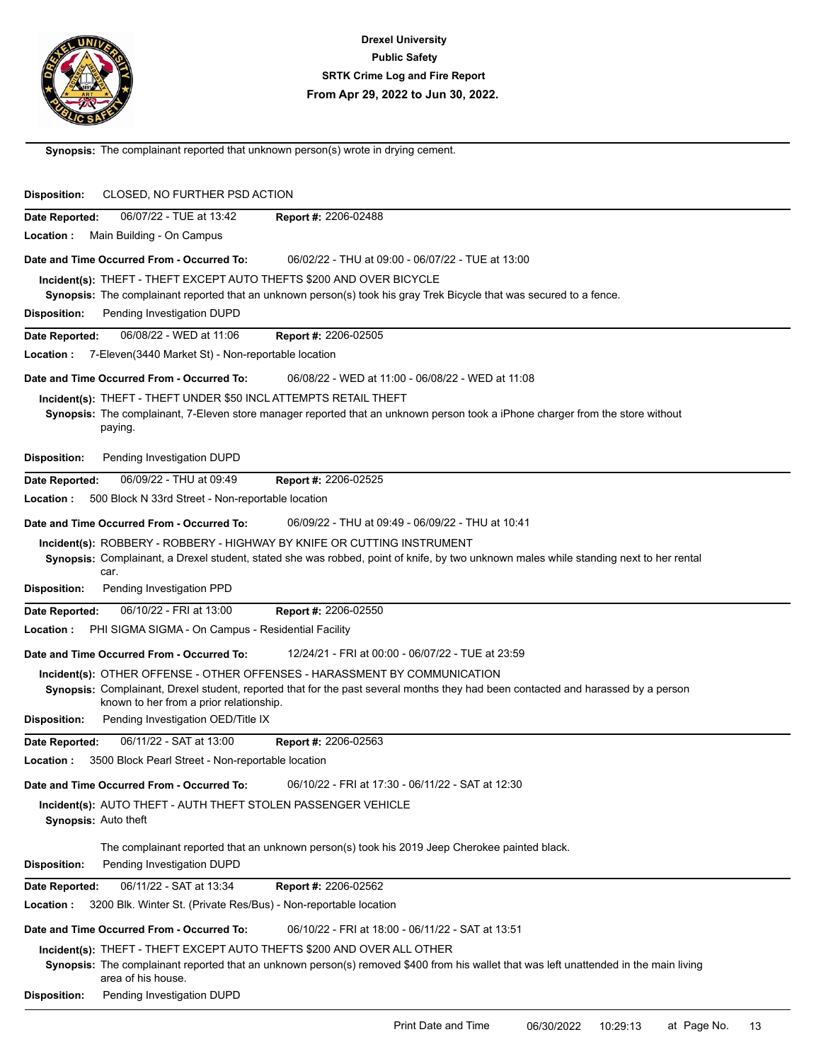

**Synopsis:** The complainant reported that unknown person(s) wrote in drying cement.

| CLOSED, NO FURTHER PSD ACTION<br><b>Disposition:</b>                                                                                                                                                                                                                                                                   |
|------------------------------------------------------------------------------------------------------------------------------------------------------------------------------------------------------------------------------------------------------------------------------------------------------------------------|
| Date Reported:<br>06/07/22 - TUE at 13:42<br>Report #: 2206-02488                                                                                                                                                                                                                                                      |
| Main Building - On Campus<br>Location :                                                                                                                                                                                                                                                                                |
| Date and Time Occurred From - Occurred To:<br>06/02/22 - THU at 09:00 - 06/07/22 - TUE at 13:00                                                                                                                                                                                                                        |
| Incident(s): THEFT - THEFT EXCEPT AUTO THEFTS \$200 AND OVER BICYCLE                                                                                                                                                                                                                                                   |
| Synopsis: The complainant reported that an unknown person(s) took his gray Trek Bicycle that was secured to a fence.                                                                                                                                                                                                   |
| Pending Investigation DUPD<br><b>Disposition:</b>                                                                                                                                                                                                                                                                      |
| 06/08/22 - WED at 11:06<br>Report #: 2206-02505<br>Date Reported:                                                                                                                                                                                                                                                      |
| Location:<br>7-Eleven(3440 Market St) - Non-reportable location                                                                                                                                                                                                                                                        |
| Date and Time Occurred From - Occurred To:<br>06/08/22 - WED at 11:00 - 06/08/22 - WED at 11:08                                                                                                                                                                                                                        |
| Incident(s): THEFT - THEFT UNDER \$50 INCL ATTEMPTS RETAIL THEFT<br>Synopsis: The complainant, 7-Eleven store manager reported that an unknown person took a iPhone charger from the store without<br>paying.                                                                                                          |
| <b>Disposition:</b><br>Pending Investigation DUPD                                                                                                                                                                                                                                                                      |
| 06/09/22 - THU at 09:49<br>Report #: 2206-02525<br>Date Reported:                                                                                                                                                                                                                                                      |
| Location:<br>500 Block N 33rd Street - Non-reportable location                                                                                                                                                                                                                                                         |
| Date and Time Occurred From - Occurred To:<br>06/09/22 - THU at 09:49 - 06/09/22 - THU at 10:41                                                                                                                                                                                                                        |
| Incident(s): ROBBERY - ROBBERY - HIGHWAY BY KNIFE OR CUTTING INSTRUMENT<br>Synopsis: Complainant, a Drexel student, stated she was robbed, point of knife, by two unknown males while standing next to her rental<br>car.<br><b>Disposition:</b><br>Pending Investigation PPD                                          |
| 06/10/22 - FRI at 13:00<br>Report #: 2206-02550<br>Date Reported:                                                                                                                                                                                                                                                      |
| PHI SIGMA SIGMA - On Campus - Residential Facility<br>Location:                                                                                                                                                                                                                                                        |
| Date and Time Occurred From - Occurred To:<br>12/24/21 - FRI at 00:00 - 06/07/22 - TUE at 23:59                                                                                                                                                                                                                        |
| Incident(s): OTHER OFFENSE - OTHER OFFENSES - HARASSMENT BY COMMUNICATION<br>Synopsis: Complainant, Drexel student, reported that for the past several months they had been contacted and harassed by a person<br>known to her from a prior relationship.<br>Pending Investigation OED/Title IX<br><b>Disposition:</b> |
| 06/11/22 - SAT at 13:00<br>Report #: 2206-02563<br>Date Reported:                                                                                                                                                                                                                                                      |
| 3500 Block Pearl Street - Non-reportable location<br>Location :                                                                                                                                                                                                                                                        |
| Date and Time Occurred From - Occurred To:<br>06/10/22 - FRI at 17:30 - 06/11/22 - SAT at 12:30                                                                                                                                                                                                                        |
| Incident(s): AUTO THEFT - AUTH THEFT STOLEN PASSENGER VEHICLE<br><b>Synopsis: Auto theft</b>                                                                                                                                                                                                                           |
| The complainant reported that an unknown person(s) took his 2019 Jeep Cherokee painted black.                                                                                                                                                                                                                          |
| Pending Investigation DUPD<br><b>Disposition:</b>                                                                                                                                                                                                                                                                      |
| 06/11/22 - SAT at 13:34<br>Report #: 2206-02562<br>Date Reported:                                                                                                                                                                                                                                                      |
| Location:<br>3200 Blk. Winter St. (Private Res/Bus) - Non-reportable location                                                                                                                                                                                                                                          |
| Date and Time Occurred From - Occurred To:<br>06/10/22 - FRI at 18:00 - 06/11/22 - SAT at 13:51                                                                                                                                                                                                                        |
| Incident(s): THEFT - THEFT EXCEPT AUTO THEFTS \$200 AND OVER ALL OTHER<br>Synopsis: The complainant reported that an unknown person(s) removed \$400 from his wallet that was left unattended in the main living<br>area of his house.                                                                                 |
| Pending Investigation DUPD<br><b>Disposition:</b>                                                                                                                                                                                                                                                                      |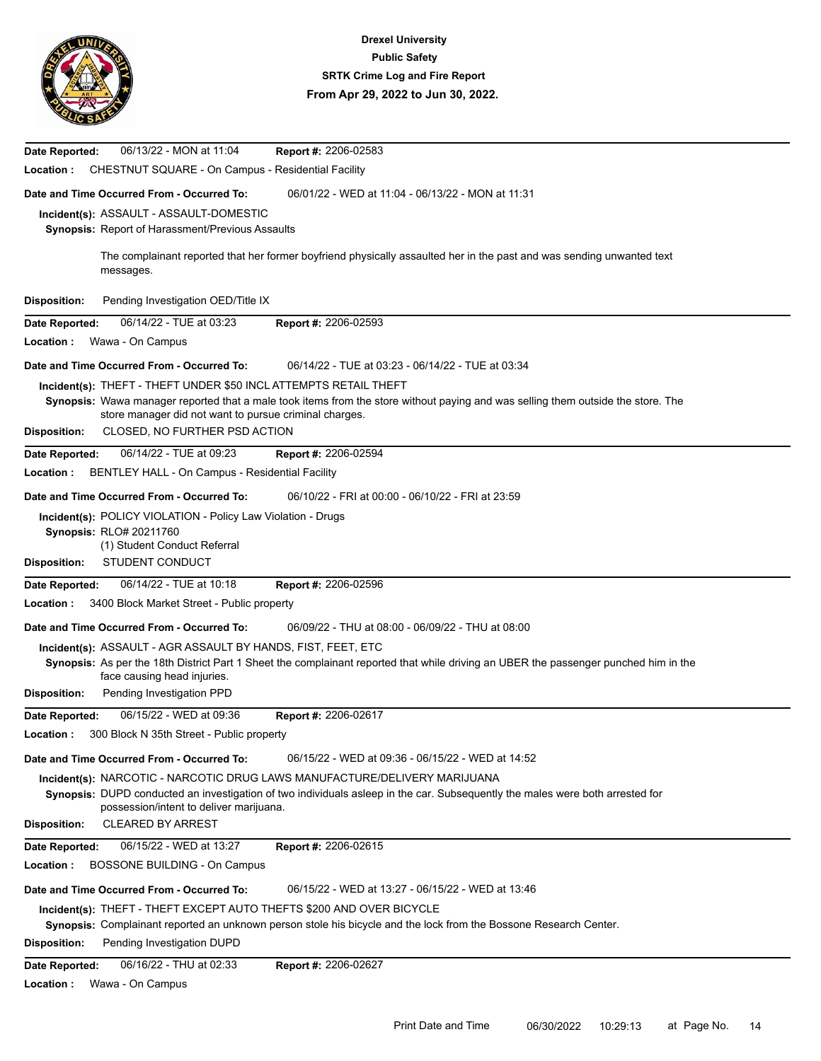

| 06/13/22 - MON at 11:04<br>Report #: 2206-02583<br>Date Reported:                                                                    |  |  |  |  |
|--------------------------------------------------------------------------------------------------------------------------------------|--|--|--|--|
| CHESTNUT SQUARE - On Campus - Residential Facility<br>Location:                                                                      |  |  |  |  |
| 06/01/22 - WED at 11:04 - 06/13/22 - MON at 11:31<br>Date and Time Occurred From - Occurred To:                                      |  |  |  |  |
| Incident(s): ASSAULT - ASSAULT-DOMESTIC                                                                                              |  |  |  |  |
| <b>Synopsis: Report of Harassment/Previous Assaults</b>                                                                              |  |  |  |  |
| The complainant reported that her former boyfriend physically assaulted her in the past and was sending unwanted text<br>messages.   |  |  |  |  |
| <b>Disposition:</b><br>Pending Investigation OED/Title IX                                                                            |  |  |  |  |
| 06/14/22 - TUE at 03:23<br>Report #: 2206-02593<br>Date Reported:                                                                    |  |  |  |  |
| Wawa - On Campus<br>Location:                                                                                                        |  |  |  |  |
| 06/14/22 - TUE at 03:23 - 06/14/22 - TUE at 03:34<br>Date and Time Occurred From - Occurred To:                                      |  |  |  |  |
| Incident(s): THEFT - THEFT UNDER \$50 INCL ATTEMPTS RETAIL THEFT                                                                     |  |  |  |  |
| Synopsis: Wawa manager reported that a male took items from the store without paying and was selling them outside the store. The     |  |  |  |  |
| store manager did not want to pursue criminal charges.                                                                               |  |  |  |  |
| <b>Disposition:</b><br>CLOSED, NO FURTHER PSD ACTION                                                                                 |  |  |  |  |
| 06/14/22 - TUE at 09:23<br>Report #: 2206-02594<br>Date Reported:                                                                    |  |  |  |  |
| BENTLEY HALL - On Campus - Residential Facility<br>Location:                                                                         |  |  |  |  |
| Date and Time Occurred From - Occurred To:<br>06/10/22 - FRI at 00:00 - 06/10/22 - FRI at 23:59                                      |  |  |  |  |
| Incident(s): POLICY VIOLATION - Policy Law Violation - Drugs                                                                         |  |  |  |  |
| <b>Synopsis: RLO# 20211760</b>                                                                                                       |  |  |  |  |
| (1) Student Conduct Referral                                                                                                         |  |  |  |  |
| STUDENT CONDUCT<br><b>Disposition:</b>                                                                                               |  |  |  |  |
| 06/14/22 - TUE at 10:18<br>Report #: 2206-02596<br>Date Reported:                                                                    |  |  |  |  |
| Location:<br>3400 Block Market Street - Public property                                                                              |  |  |  |  |
| Date and Time Occurred From - Occurred To:<br>06/09/22 - THU at 08:00 - 06/09/22 - THU at 08:00                                      |  |  |  |  |
| Incident(s): ASSAULT - AGR ASSAULT BY HANDS, FIST, FEET, ETC                                                                         |  |  |  |  |
| Synopsis: As per the 18th District Part 1 Sheet the complainant reported that while driving an UBER the passenger punched him in the |  |  |  |  |
| face causing head injuries.                                                                                                          |  |  |  |  |
| <b>Disposition:</b><br>Pending Investigation PPD                                                                                     |  |  |  |  |
| 06/15/22 - WED at 09:36<br>Report #: 2206-02617<br>Date Reported:                                                                    |  |  |  |  |
| 300 Block N 35th Street - Public property<br>Location :                                                                              |  |  |  |  |
| Date and Time Occurred From - Occurred To:<br>06/15/22 - WED at 09:36 - 06/15/22 - WED at 14:52                                      |  |  |  |  |
| Incident(s): NARCOTIC - NARCOTIC DRUG LAWS MANUFACTURE/DELIVERY MARIJUANA                                                            |  |  |  |  |
| Synopsis: DUPD conducted an investigation of two individuals asleep in the car. Subsequently the males were both arrested for        |  |  |  |  |
| possession/intent to deliver marijuana.<br><b>CLEARED BY ARREST</b><br><b>Disposition:</b>                                           |  |  |  |  |
|                                                                                                                                      |  |  |  |  |
| 06/15/22 - WED at 13:27<br>Report #: 2206-02615<br>Date Reported:                                                                    |  |  |  |  |
| Location:<br>BOSSONE BUILDING - On Campus                                                                                            |  |  |  |  |
| Date and Time Occurred From - Occurred To:<br>06/15/22 - WED at 13:27 - 06/15/22 - WED at 13:46                                      |  |  |  |  |
| Incident(s): THEFT - THEFT EXCEPT AUTO THEFTS \$200 AND OVER BICYCLE                                                                 |  |  |  |  |
| Synopsis: Complainant reported an unknown person stole his bicycle and the lock from the Bossone Research Center.                    |  |  |  |  |
| Pending Investigation DUPD<br><b>Disposition:</b>                                                                                    |  |  |  |  |
| 06/16/22 - THU at 02:33<br>Date Reported:<br>Report #: 2206-02627                                                                    |  |  |  |  |
| Location:<br>Wawa - On Campus                                                                                                        |  |  |  |  |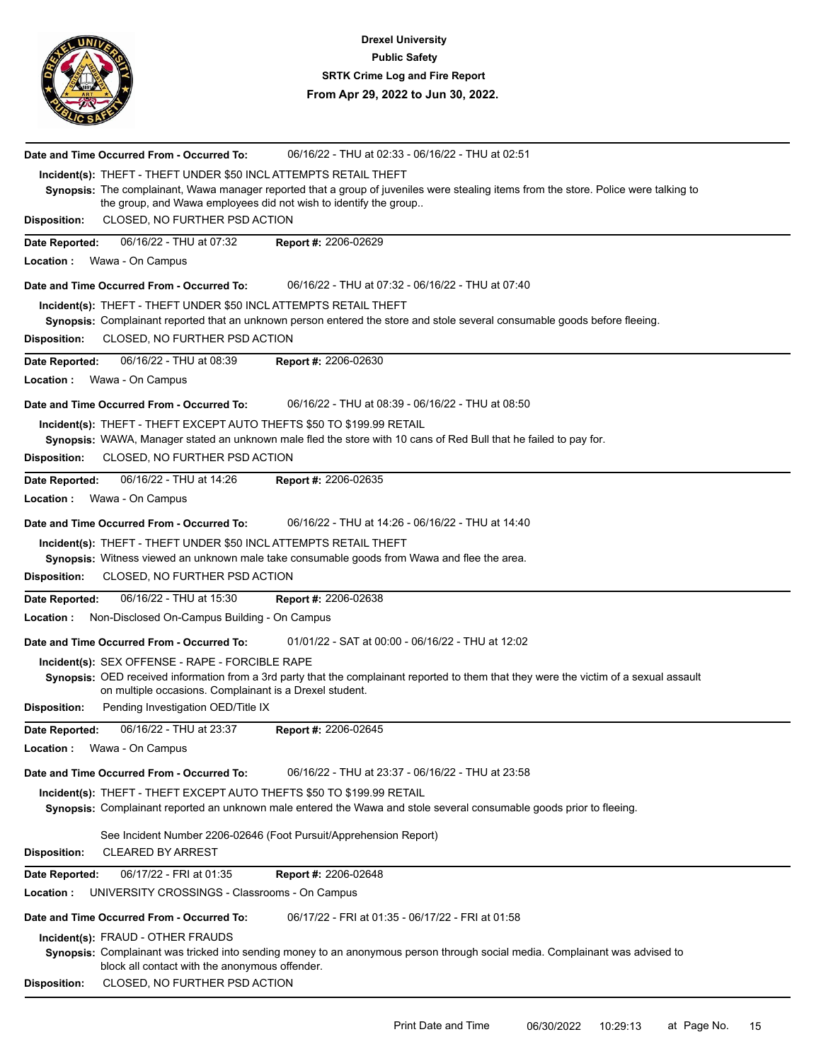

| 06/16/22 - THU at 02:33 - 06/16/22 - THU at 02:51<br>Date and Time Occurred From - Occurred To:                                                                                                                                                                                                             |  |  |
|-------------------------------------------------------------------------------------------------------------------------------------------------------------------------------------------------------------------------------------------------------------------------------------------------------------|--|--|
| Incident(s): THEFT - THEFT UNDER \$50 INCL ATTEMPTS RETAIL THEFT<br>Synopsis: The complainant, Wawa manager reported that a group of juveniles were stealing items from the store. Police were talking to<br>the group, and Wawa employees did not wish to identify the group                               |  |  |
| CLOSED, NO FURTHER PSD ACTION<br><b>Disposition:</b>                                                                                                                                                                                                                                                        |  |  |
| 06/16/22 - THU at 07:32<br>Report #: 2206-02629<br>Date Reported:                                                                                                                                                                                                                                           |  |  |
| Wawa - On Campus<br>Location:                                                                                                                                                                                                                                                                               |  |  |
| Date and Time Occurred From - Occurred To:<br>06/16/22 - THU at 07:32 - 06/16/22 - THU at 07:40                                                                                                                                                                                                             |  |  |
| Incident(s): THEFT - THEFT UNDER \$50 INCL ATTEMPTS RETAIL THEFT                                                                                                                                                                                                                                            |  |  |
| Synopsis: Complainant reported that an unknown person entered the store and stole several consumable goods before fleeing.                                                                                                                                                                                  |  |  |
| <b>Disposition:</b><br>CLOSED, NO FURTHER PSD ACTION                                                                                                                                                                                                                                                        |  |  |
| 06/16/22 - THU at 08:39<br>Report #: 2206-02630<br>Date Reported:                                                                                                                                                                                                                                           |  |  |
| Location:<br>Wawa - On Campus                                                                                                                                                                                                                                                                               |  |  |
| 06/16/22 - THU at 08:39 - 06/16/22 - THU at 08:50<br>Date and Time Occurred From - Occurred To:                                                                                                                                                                                                             |  |  |
| Incident(s): THEFT - THEFT EXCEPT AUTO THEFTS \$50 TO \$199.99 RETAIL                                                                                                                                                                                                                                       |  |  |
| Synopsis: WAWA, Manager stated an unknown male fled the store with 10 cans of Red Bull that he failed to pay for.<br>CLOSED, NO FURTHER PSD ACTION<br><b>Disposition:</b>                                                                                                                                   |  |  |
| 06/16/22 - THU at 14:26<br>Report #: 2206-02635                                                                                                                                                                                                                                                             |  |  |
| Date Reported:<br>Wawa - On Campus<br>Location:                                                                                                                                                                                                                                                             |  |  |
| Date and Time Occurred From - Occurred To:<br>06/16/22 - THU at 14:26 - 06/16/22 - THU at 14:40                                                                                                                                                                                                             |  |  |
| Incident(s): THEFT - THEFT UNDER \$50 INCL ATTEMPTS RETAIL THEFT                                                                                                                                                                                                                                            |  |  |
| Synopsis: Witness viewed an unknown male take consumable goods from Wawa and flee the area.                                                                                                                                                                                                                 |  |  |
| <b>Disposition:</b><br>CLOSED, NO FURTHER PSD ACTION                                                                                                                                                                                                                                                        |  |  |
| 06/16/22 - THU at 15:30<br>Report #: 2206-02638<br>Date Reported:                                                                                                                                                                                                                                           |  |  |
| Non-Disclosed On-Campus Building - On Campus<br>Location:                                                                                                                                                                                                                                                   |  |  |
| 01/01/22 - SAT at 00:00 - 06/16/22 - THU at 12:02<br>Date and Time Occurred From - Occurred To:                                                                                                                                                                                                             |  |  |
| Incident(s): SEX OFFENSE - RAPE - FORCIBLE RAPE<br>Synopsis: OED received information from a 3rd party that the complainant reported to them that they were the victim of a sexual assault<br>on multiple occasions. Complainant is a Drexel student.<br>Pending Investigation OED/Title IX<br>Disposition: |  |  |
| 06/16/22 - THU at 23:37<br>Report #: 2206-02645<br>Date Reported:                                                                                                                                                                                                                                           |  |  |
| Wawa - On Campus<br>Location :                                                                                                                                                                                                                                                                              |  |  |
| Date and Time Occurred From - Occurred To:<br>06/16/22 - THU at 23:37 - 06/16/22 - THU at 23:58                                                                                                                                                                                                             |  |  |
| Incident(s): THEFT - THEFT EXCEPT AUTO THEFTS \$50 TO \$199.99 RETAIL<br>Synopsis: Complainant reported an unknown male entered the Wawa and stole several consumable goods prior to fleeing.                                                                                                               |  |  |
| See Incident Number 2206-02646 (Foot Pursuit/Apprehension Report)<br><b>CLEARED BY ARREST</b><br><b>Disposition:</b>                                                                                                                                                                                        |  |  |
| 06/17/22 - FRI at 01:35<br>Report #: 2206-02648<br>Date Reported:                                                                                                                                                                                                                                           |  |  |
| Location:<br>UNIVERSITY CROSSINGS - Classrooms - On Campus                                                                                                                                                                                                                                                  |  |  |
| 06/17/22 - FRI at 01:35 - 06/17/22 - FRI at 01:58<br>Date and Time Occurred From - Occurred To:                                                                                                                                                                                                             |  |  |
| Incident(s): FRAUD - OTHER FRAUDS                                                                                                                                                                                                                                                                           |  |  |
| Synopsis: Complainant was tricked into sending money to an anonymous person through social media. Complainant was advised to<br>block all contact with the anonymous offender.                                                                                                                              |  |  |
| CLOSED, NO FURTHER PSD ACTION<br><b>Disposition:</b>                                                                                                                                                                                                                                                        |  |  |
|                                                                                                                                                                                                                                                                                                             |  |  |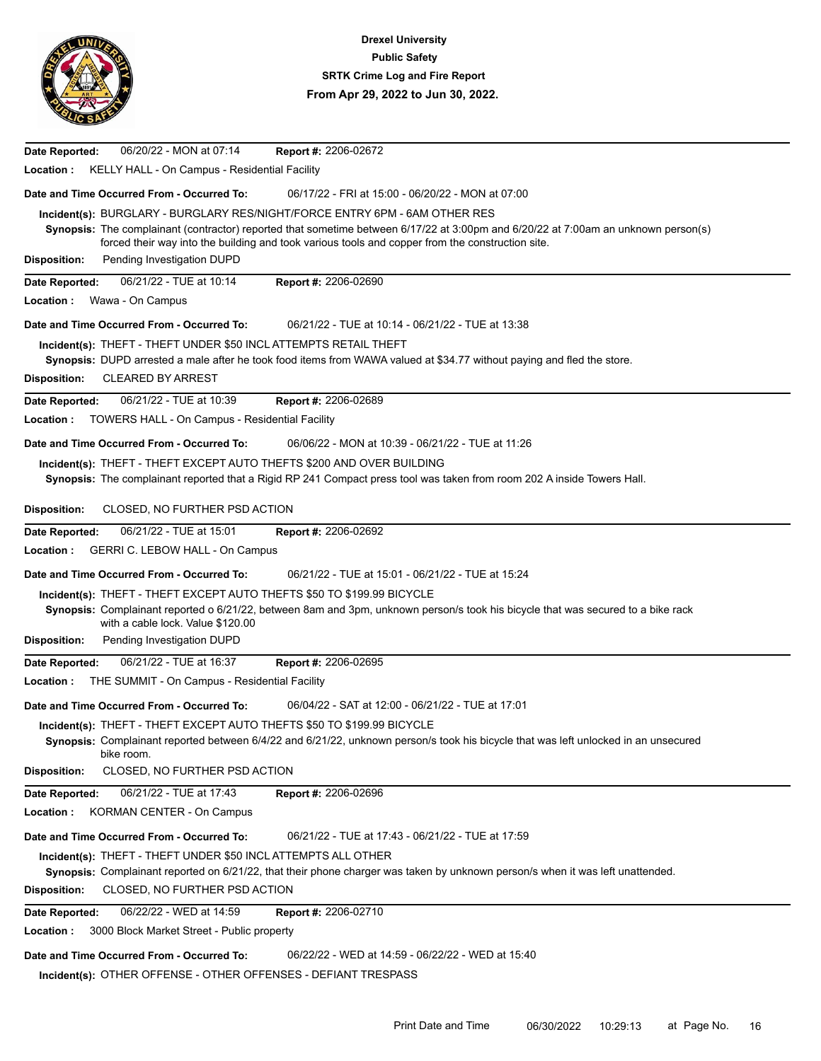

| 06/20/22 - MON at 07:14<br>Report #: 2206-02672<br>Date Reported:                                                                   |  |  |  |  |
|-------------------------------------------------------------------------------------------------------------------------------------|--|--|--|--|
| Location:<br>KELLY HALL - On Campus - Residential Facility                                                                          |  |  |  |  |
| Date and Time Occurred From - Occurred To:<br>06/17/22 - FRI at 15:00 - 06/20/22 - MON at 07:00                                     |  |  |  |  |
| Incident(s): BURGLARY - BURGLARY RES/NIGHT/FORCE ENTRY 6PM - 6AM OTHER RES                                                          |  |  |  |  |
| Synopsis: The complainant (contractor) reported that sometime between 6/17/22 at 3:00pm and 6/20/22 at 7:00am an unknown person(s)  |  |  |  |  |
| forced their way into the building and took various tools and copper from the construction site.                                    |  |  |  |  |
| Pending Investigation DUPD<br><b>Disposition:</b>                                                                                   |  |  |  |  |
| 06/21/22 - TUE at 10:14<br>Report #: 2206-02690<br>Date Reported:                                                                   |  |  |  |  |
| Location :<br>Wawa - On Campus                                                                                                      |  |  |  |  |
| Date and Time Occurred From - Occurred To:<br>06/21/22 - TUE at 10:14 - 06/21/22 - TUE at 13:38                                     |  |  |  |  |
| Incident(s): THEFT - THEFT UNDER \$50 INCL ATTEMPTS RETAIL THEFT                                                                    |  |  |  |  |
| Synopsis: DUPD arrested a male after he took food items from WAWA valued at \$34.77 without paying and fled the store.              |  |  |  |  |
| <b>Disposition:</b><br><b>CLEARED BY ARREST</b>                                                                                     |  |  |  |  |
| Date Reported:<br>06/21/22 - TUE at 10:39<br>Report #: 2206-02689                                                                   |  |  |  |  |
| Location:<br>TOWERS HALL - On Campus - Residential Facility                                                                         |  |  |  |  |
| Date and Time Occurred From - Occurred To:<br>06/06/22 - MON at 10:39 - 06/21/22 - TUE at 11:26                                     |  |  |  |  |
| Incident(s): THEFT - THEFT EXCEPT AUTO THEFTS \$200 AND OVER BUILDING                                                               |  |  |  |  |
| Synopsis: The complainant reported that a Rigid RP 241 Compact press tool was taken from room 202 A inside Towers Hall.             |  |  |  |  |
| <b>Disposition:</b><br>CLOSED, NO FURTHER PSD ACTION                                                                                |  |  |  |  |
| 06/21/22 - TUE at 15:01<br>Report #: 2206-02692<br>Date Reported:                                                                   |  |  |  |  |
| Location :<br>GERRI C. LEBOW HALL - On Campus                                                                                       |  |  |  |  |
| Date and Time Occurred From - Occurred To:<br>06/21/22 - TUE at 15:01 - 06/21/22 - TUE at 15:24                                     |  |  |  |  |
| Incident(s): THEFT - THEFT EXCEPT AUTO THEFTS \$50 TO \$199.99 BICYCLE                                                              |  |  |  |  |
| Synopsis: Complainant reported o 6/21/22, between 8am and 3pm, unknown person/s took his bicycle that was secured to a bike rack    |  |  |  |  |
| with a cable lock. Value \$120.00                                                                                                   |  |  |  |  |
| Pending Investigation DUPD<br><b>Disposition:</b>                                                                                   |  |  |  |  |
| 06/21/22 - TUE at 16:37<br>Report #: 2206-02695<br>Date Reported:                                                                   |  |  |  |  |
| Location:<br>THE SUMMIT - On Campus - Residential Facility                                                                          |  |  |  |  |
| Date and Time Occurred From - Occurred To:<br>06/04/22 - SAT at 12:00 - 06/21/22 - TUE at 17:01                                     |  |  |  |  |
| Incident(s): THEFT - THEFT EXCEPT AUTO THEFTS \$50 TO \$199.99 BICYCLE                                                              |  |  |  |  |
| Synopsis: Complainant reported between 6/4/22 and 6/21/22, unknown person/s took his bicycle that was left unlocked in an unsecured |  |  |  |  |
| bike room.                                                                                                                          |  |  |  |  |
| <b>Disposition:</b><br>CLOSED, NO FURTHER PSD ACTION                                                                                |  |  |  |  |
| 06/21/22 - TUE at 17:43<br>Report #: 2206-02696<br>Date Reported:                                                                   |  |  |  |  |
| KORMAN CENTER - On Campus<br>Location :                                                                                             |  |  |  |  |
| Date and Time Occurred From - Occurred To:<br>06/21/22 - TUE at 17:43 - 06/21/22 - TUE at 17:59                                     |  |  |  |  |
| Incident(s): THEFT - THEFT UNDER \$50 INCL ATTEMPTS ALL OTHER                                                                       |  |  |  |  |
| Synopsis: Complainant reported on 6/21/22, that their phone charger was taken by unknown person/s when it was left unattended.      |  |  |  |  |
| CLOSED, NO FURTHER PSD ACTION<br><b>Disposition:</b>                                                                                |  |  |  |  |
| 06/22/22 - WED at 14:59<br>Report #: 2206-02710<br>Date Reported:                                                                   |  |  |  |  |
| Location :<br>3000 Block Market Street - Public property                                                                            |  |  |  |  |
| Date and Time Occurred From - Occurred To:<br>06/22/22 - WED at 14:59 - 06/22/22 - WED at 15:40                                     |  |  |  |  |
| Incident(s): OTHER OFFENSE - OTHER OFFENSES - DEFIANT TRESPASS                                                                      |  |  |  |  |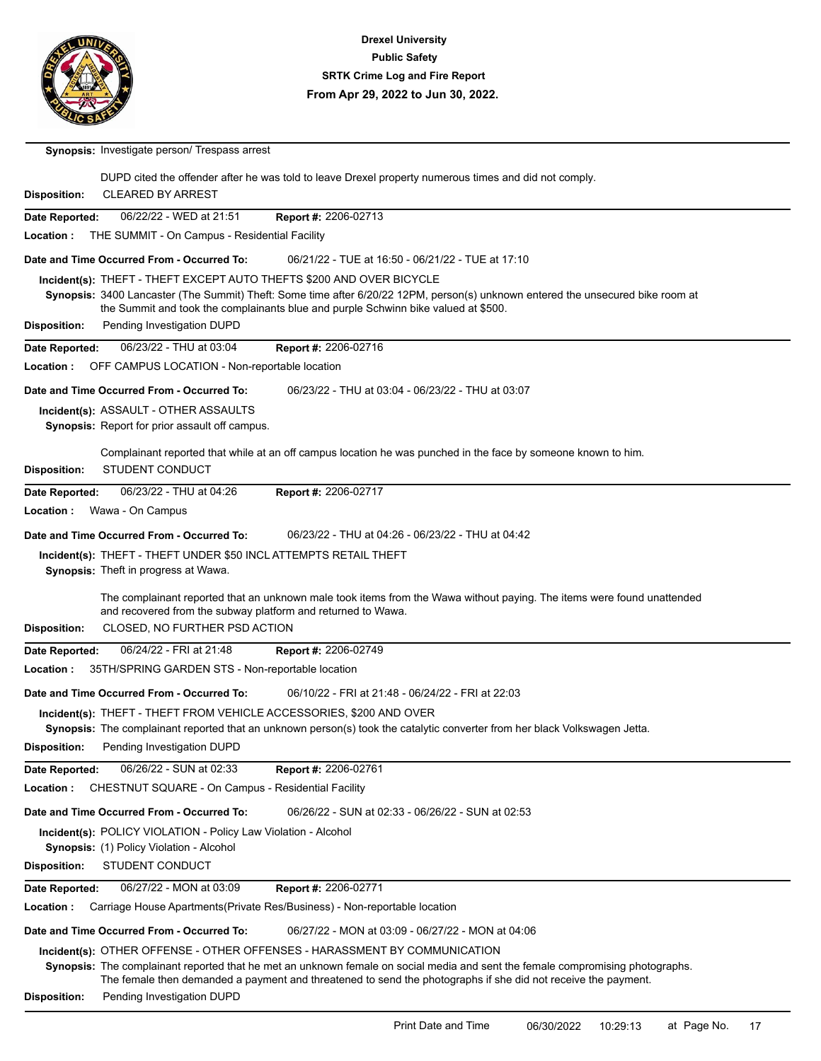

**Synopsis:** Investigate person/ Trespass arrest

| DUPD cited the offender after he was told to leave Drexel property numerous times and did not comply.<br><b>CLEARED BY ARREST</b><br>Disposition: |  |  |  |  |
|---------------------------------------------------------------------------------------------------------------------------------------------------|--|--|--|--|
| 06/22/22 - WED at 21:51<br>Date Reported:<br>Report #: 2206-02713                                                                                 |  |  |  |  |
| THE SUMMIT - On Campus - Residential Facility<br>Location :                                                                                       |  |  |  |  |
| 06/21/22 - TUE at 16:50 - 06/21/22 - TUE at 17:10<br>Date and Time Occurred From - Occurred To:                                                   |  |  |  |  |
| Incident(s): THEFT - THEFT EXCEPT AUTO THEFTS \$200 AND OVER BICYCLE                                                                              |  |  |  |  |
| Synopsis: 3400 Lancaster (The Summit) Theft: Some time after 6/20/22 12PM, person(s) unknown entered the unsecured bike room at                   |  |  |  |  |
| the Summit and took the complainants blue and purple Schwinn bike valued at \$500.                                                                |  |  |  |  |
| Pending Investigation DUPD<br><b>Disposition:</b>                                                                                                 |  |  |  |  |
| 06/23/22 - THU at 03:04<br>Report #: 2206-02716<br>Date Reported:                                                                                 |  |  |  |  |
| Location:<br>OFF CAMPUS LOCATION - Non-reportable location                                                                                        |  |  |  |  |
| Date and Time Occurred From - Occurred To:<br>06/23/22 - THU at 03:04 - 06/23/22 - THU at 03:07                                                   |  |  |  |  |
| Incident(s): ASSAULT - OTHER ASSAULTS                                                                                                             |  |  |  |  |
| Synopsis: Report for prior assault off campus.                                                                                                    |  |  |  |  |
| Complainant reported that while at an off campus location he was punched in the face by someone known to him.                                     |  |  |  |  |
| <b>STUDENT CONDUCT</b><br><b>Disposition:</b>                                                                                                     |  |  |  |  |
| 06/23/22 - THU at 04:26<br>Report #: 2206-02717<br>Date Reported:                                                                                 |  |  |  |  |
| Wawa - On Campus<br>Location :                                                                                                                    |  |  |  |  |
| Date and Time Occurred From - Occurred To:<br>06/23/22 - THU at 04:26 - 06/23/22 - THU at 04:42                                                   |  |  |  |  |
|                                                                                                                                                   |  |  |  |  |
| Incident(s): THEFT - THEFT UNDER \$50 INCL ATTEMPTS RETAIL THEFT<br>Synopsis: Theft in progress at Wawa.                                          |  |  |  |  |
|                                                                                                                                                   |  |  |  |  |
| The complainant reported that an unknown male took items from the Wawa without paying. The items were found unattended                            |  |  |  |  |
| and recovered from the subway platform and returned to Wawa.<br>CLOSED, NO FURTHER PSD ACTION<br><b>Disposition:</b>                              |  |  |  |  |
| 06/24/22 - FRI at 21:48<br>Report #: 2206-02749                                                                                                   |  |  |  |  |
| Date Reported:<br>35TH/SPRING GARDEN STS - Non-reportable location<br>Location :                                                                  |  |  |  |  |
|                                                                                                                                                   |  |  |  |  |
| Date and Time Occurred From - Occurred To:<br>06/10/22 - FRI at 21:48 - 06/24/22 - FRI at 22:03                                                   |  |  |  |  |
| Incident(s): THEFT - THEFT FROM VEHICLE ACCESSORIES, \$200 AND OVER                                                                               |  |  |  |  |
| Synopsis: The complainant reported that an unknown person(s) took the catalytic converter from her black Volkswagen Jetta.                        |  |  |  |  |
| <b>Disposition:</b><br>Pending Investigation DUPD                                                                                                 |  |  |  |  |
| Date Reported:<br>06/26/22 - SUN at 02:33<br>Report #: 2206-02761                                                                                 |  |  |  |  |
| CHESTNUT SQUARE - On Campus - Residential Facility<br>Location :                                                                                  |  |  |  |  |
| Date and Time Occurred From - Occurred To:<br>06/26/22 - SUN at 02:33 - 06/26/22 - SUN at 02:53                                                   |  |  |  |  |
| Incident(s): POLICY VIOLATION - Policy Law Violation - Alcohol                                                                                    |  |  |  |  |
| Synopsis: (1) Policy Violation - Alcohol                                                                                                          |  |  |  |  |
| STUDENT CONDUCT<br><b>Disposition:</b>                                                                                                            |  |  |  |  |
| 06/27/22 - MON at 03:09<br>Report #: 2206-02771<br>Date Reported:                                                                                 |  |  |  |  |
| Carriage House Apartments (Private Res/Business) - Non-reportable location<br>Location :                                                          |  |  |  |  |
| Date and Time Occurred From - Occurred To:<br>06/27/22 - MON at 03:09 - 06/27/22 - MON at 04:06                                                   |  |  |  |  |
| Incident(s): OTHER OFFENSE - OTHER OFFENSES - HARASSMENT BY COMMUNICATION                                                                         |  |  |  |  |
| Synopsis: The complainant reported that he met an unknown female on social media and sent the female compromising photographs.                    |  |  |  |  |
| The female then demanded a payment and threatened to send the photographs if she did not receive the payment.                                     |  |  |  |  |
| Pending Investigation DUPD<br><b>Disposition:</b>                                                                                                 |  |  |  |  |